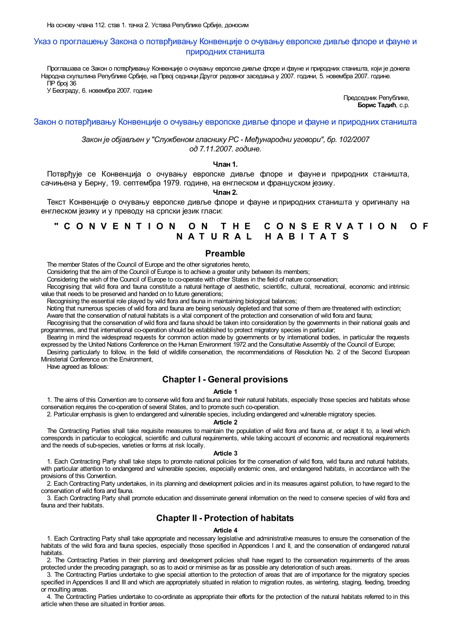### Указ о проглашењу Закона о потврђивању Конвенције о очувању европске дивље флоре и фауне и природних станишта

Проглашава се Закон о потврђивању Конвенције о очувању европске дивље флоре и фауне и природних станишта, који је донела Народна скупштина Републике Србије, на Првој седници Другог редовног заседања у 2007. години, 5. новембра 2007. године. ПР број 36

У Београду, 6. новембра 2007. године

Председник Републике, **Борис Тадић**, с.р.

### Закон о потврђивању Конвенције о очувању европске дивље флоре и фауне и природних станишта

### *Закон је објављен у "Службеном гласнику РС - Међународни уговори", бр. 102/2007 од 7.11.2007. године.*

### **Члан 1.**

Потврђује се Конвенција о очувању европске дивље флоре и фауне и природних станишта, сачињена у Берну, 19. септембра 1979. године, на енглеском и француском језику.

**Члан 2.**

Текст Конвенције о очувању европске дивље флоре и фауне и природних станишта у оригиналу на енглеском језику и у преводу на српски језик гласи:

# "CONVENTION ON THE CONSERVATION OF **N A T U R A L H A B I T A T S**

### **Preamble**

The member States of the Council of Europe and the other signatories hereto,

Considering that the aim of the Council of Europe is to achieve a greater unity between its members;

Considering the wish of the Council of Europe to co-operate with other States in the field of nature conservation;

Recognising that wild flora and fauna constitute a natural heritage of aesthetic, scientific, cultural, recreational, economic and intrinsic value that needs to be preserved and handed on to future generations;

Recognising the essential role played by wild flora and fauna in maintaining biological balances;

Noting that numerous species of wild flora and fauna are being seriously depleted and that some of them are threatened with extinction;

Aware that the conservation of natural habitats is a vital component of the protection and conservation of wild flora and fauna;

Recognising that the conservation of wild flora and fauna should be taken into consideration by the governments in their national goals and programmes, and that international co-operation should be established to protect migratory species in particular;

Bearing in mind the widespread requests for common action made by governments or by international bodies, in particular the requests expressed by the United Nations Conference on the Human Environment 1972 and the Consultative Assembly of the Council of Europe;

Desiring particularly to follow, in the field of wildlife conservation, the recommendations of Resolution No. 2 of the Second European Ministerial Conference on the Environment,

Have agreed as follows:

## **Chapter I - General provisions**

### **Article 1**

1. The aims of this Convention are to conserve wild flora and fauna and their natural habitats, especially those species and habitats whose conservation requires the co-operation of several States, and to promote such co-operation.

2. Particular emphasis is given to endangered and vulnerable species, including endangered and vulnerable migratory species.

### **Article 2**

The Contracting Parties shall take requisite measures to maintain the population of wild flora and fauna at, or adapt it to, a level which corresponds in particular to ecological, scientific and cultural requirements, while taking account of economic and recreational requirements and the needs of sub-species, varieties or forms at risk locally.

### **Article 3**

1. Each Contracting Party shall take steps to promote national policies for the conservation of wild flora, wild fauna and natural habitats, with particular attention to endangered and vulnerable species, especially endemic ones, and endangered habitats, in accordance with the provisions of this Convention.

2. Each Contracting Party undertakes, in its planning and development policies and in its measures against pollution, to have regard to the conservation of wild flora and fauna.

3. Each Contracting Party shall promote education and disseminate general information on the need to conserve species of wild flora and fauna and their habitats.

# **Chapter II - Protection of habitats**

### **Article 4**

1. Each Contracting Party shall take appropriate and necessary legislative and administrative measures to ensure the conservation of the habitats of the wild flora and fauna species, especially those specified in Appendices I and II, and the conservation of endangered natural habitats.

2. The Contracting Parties in their planning and development policies shall have regard to the conservation requirements of the areas protected under the preceding paragraph, so as to avoid or minimise as far as possible any deterioration of such areas.

3. The Contracting Parties undertake to give special attention to the protection of areas that are of importance for the migratory species specified in Appendices II and III and which are appropriately situated in relation to migration routes, as wintering, staging, feeding, breeding or moulting areas.

4. The Contracting Parties undertake to co-ordinate as appropriate their efforts for the protection of the natural habitats referred to in this article when these are situated in frontier areas.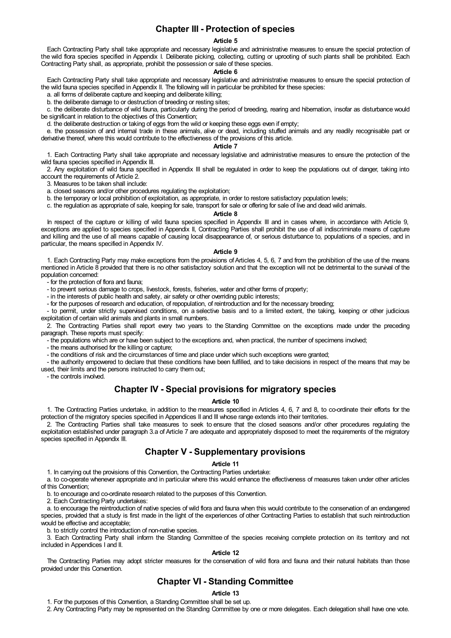# **Chapter III - Protection of species**

### **Article 5**

Each Contracting Party shall take appropriate and necessary legislative and administrative measures to ensure the special protection of the wild flora species specified in Appendix I. Deliberate picking, collecting, cutting or uprooting of such plants shall be prohibited. Each Contracting Party shall, as appropriate, prohibit the possession or sale of these species.

#### **Article 6**

Each Contracting Party shall take appropriate and necessary legislative and administrative measures to ensure the special protection of the wild fauna species specified in Appendix II. The following will in particular be prohibited for these species:

a. all forms of deliberate capture and keeping and deliberate killing;

b. the deliberate damage to or destruction of breeding or resting sites;

c. the deliberate disturbance of wild fauna, particularly during the period of breeding, rearing and hibernation, insofar as disturbance would be significant in relation to the objectives of this Convention;

d. the deliberate destruction or taking of eggs from the wild or keeping these eggs even if empty;

e. the possession of and internal trade in these animals, alive or dead, including stuffed animals and any readily recognisable part or derivative thereof, where this would contribute to the effectiveness of the provisions of this article.

### **Article 7**

1. Each Contracting Party shall take appropriate and necessary legislative and administrative measures to ensure the protection of the wild fauna species specified in Appendix III.

2. Any exploitation of wild fauna specified in Appendix III shall be regulated in order to keep the populations out of danger, taking into account the requirements of Article 2.

3. Measures to be taken shall include:

a. closed seasons and/or other procedures regulating the exploitation;

b. the temporary or local prohibition of exploitation, as appropriate, in order to restore satisfactory population levels;

c. the regulation as appropriate of sale, keeping for sale, transport for sale or offering for sale of live and dead wild animals.

### **Article 8**

In respect of the capture or killing of wild fauna species specified in Appendix III and in cases where, in accordance with Article 9, exceptions are applied to species specified in Appendix II, Contracting Parties shall prohibit the use of all indiscriminate means of capture and killing and the use of all means capable of causing local disappearance of, or serious disturbance to, populations of a species, and in particular, the means specified in Appendix IV.

#### **Article 9**

1. Each Contracting Party may make exceptions from the provisions of Articles 4, 5, 6, 7 and from the prohibition of the use of the means mentioned in Article 8 provided that there is no other satisfactory solution and that the exception will not be detrimental to the survival of the population concerned:

- for the protection of flora and fauna;

- to prevent serious damage to crops, livestock, forests, fisheries, water and other forms of property;

- in the interests of public health and safety, air safety or other overriding public interests;

- for the purposes of research and education, of repopulation, of reintroduction and for the necessary breeding;

- to permit, under strictly supervised conditions, on a selective basis and to a limited extent, the taking, keeping or other judicious exploitation of certain wild animals and plants in small numbers.

2. The Contracting Parties shall report every two years to the Standing Committee on the exceptions made under the preceding paragraph. These reports must specify:

- the populations which are or have been subject to the exceptions and, when practical, the number of specimens involved;

- the means authorised for the killing or capture;

- the conditions of risk and the circumstances of time and place under which such exceptions were granted;

- the authority empowered to declare that these conditions have been fulfilled, and to take decisions in respect of the means that may be used, their limits and the persons instructed to carry them out;

- the controls involved.

# **Chapter IV - Special provisions for migratory species**

### **Article 10**

1. The Contracting Parties undertake, in addition to the measures specified in Articles 4, 6, 7 and 8, to co-ordinate their efforts for the protection of the migratory species specified in Appendices II and III whose range extends into their territories.

2. The Contracting Parties shall take measures to seek to ensure that the closed seasons and/or other procedures regulating the exploitation established under paragraph 3.a of Article 7 are adequate and appropriately disposed to meet the requirements of the migratory species specified in Appendix III.

# **Chapter V - Supplementary provisions**

#### **Article 11**

1. In carrying out the provisions of this Convention, the Contracting Parties undertake:

a. to co-operate whenever appropriate and in particular where this would enhance the effectiveness of measures taken under other articles of this Convention;

b. to encourage and co-ordinate research related to the purposes of this Convention.

2. Each Contracting Party undertakes:

a. to encourage the reintroduction of native species of wild flora and fauna when this would contribute to the conservation of an endangered species, provided that a study is first made in the light of the experiences of other Contracting Parties to establish that such reintroduction would be effective and acceptable;

b. to strictly control the introduction of non-native species.

3. Each Contracting Party shall inform the Standing Committee of the species receiving complete protection on its territory and not included in Appendices I and II.

### **Article 12**

The Contracting Parties may adopt stricter measures for the conservation of wild flora and fauna and their natural habitats than those provided under this Convention.

# **Chapter VI - Standing Committee**

### **Article 13**

1. For the purposes of this Convention, a Standing Committee shall be set up.

2. Any Contracting Party may be represented on the Standing Committee by one or more delegates. Each delegation shall have one vote.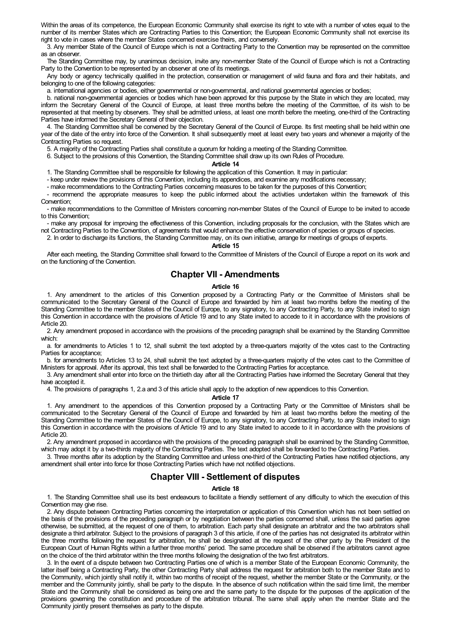Within the areas of its competence, the European Economic Community shall exercise its right to vote with a number of votes equal to the number of its member States which are Contracting Parties to this Convention; the European Economic Community shall not exercise its right to vote in cases where the member States concerned exercise theirs, and conversely.

3. Any member State of the Council of Europe which is not a Contracting Party to the Convention may be represented on the committee as an observer.

The Standing Committee may, by unanimous decision, invite any non-member State of the Council of Europe which is not a Contracting Party to the Convention to be represented by an observer at one of its meetings.

Any body or agency technically qualified in the protection, conservation or management of wild fauna and flora and their habitats, and belonging to one of the following categories:

a. international agencies or bodies, either governmental or non-governmental, and national governmental agencies or bodies;

b. national non-governmental agencies or bodies which have been approved for this purpose by the State in which they are located, may inform the Secretary General of the Council of Europe, at least three months before the meeting of the Committee, of its wish to be represented at that meeting by observers. They shall be admitted unless, at least one month before the meeting, one-third of the Contracting Parties have informed the Secretary General of their objection.

4. The Standing Committee shall be convened by the Secretary General of the Council of Europe. Its first meeting shall be held within one year of the date of the entry into force of the Convention. It shall subsequently meet at least every two years and whenever a majority of the Contracting Parties so request.

5. A majority of the Contracting Parties shall constitute a quorum for holding a meeting of the Standing Committee.

6. Subject to the provisions of this Convention, the Standing Committee shall draw up its own Rules of Procedure.

#### **Article 14**

1. The Standing Committee shall be responsible for following the application of this Convention. It may in particular:

- keep under review the provisions of this Convention, including its appendices, and examine any modifications necessary;

- make recommendations to the Contracting Parties concerning measures to be taken for the purposes of this Convention;

- recommend the appropriate measures to keep the public informed about the activities undertaken within the framework of this Convention;

- make recommendations to the Committee of Ministers concerning non-member States of the Council of Europe to be invited to accede to this Convention;

- make any proposal for improving the effectiveness of this Convention, including proposals for the conclusion, with the States which are not Contracting Parties to the Convention, of agreements that would enhance the effective conservation of species or groups of species.

2. In order to discharge its functions, the Standing Committee may, on its own initiative, arrange for meetings of groups of experts.

### **Article 15**

After each meeting, the Standing Committee shall forward to the Committee of Ministers of the Council of Europe a report on its work and on the functioning of the Convention.

# **Chapter VII - Amendments**

### **Article 16**

1. Any amendment to the articles of this Convention proposed by a Contracting Party or the Committee of Ministers shall be communicated to the Secretary General of the Council of Europe and forwarded by him at least two months before the meeting of the Standing Committee to the member States of the Council of Europe, to any signatory, to any Contracting Party, to any State invited to sign this Convention in accordance with the provisions of Article 19 and to any State invited to accede to it in accordance with the provisions of Article 20.

2. Any amendment proposed in accordance with the provisions of the preceding paragraph shall be examined by the Standing Committee which:

a. for amendments to Articles 1 to 12, shall submit the text adopted by a three-quarters majority of the votes cast to the Contracting Parties for acceptance;

b. for amendments to Articles 13 to 24, shall submit the text adopted by a three-quarters majority of the votes cast to the Committee of Ministers for approval. After its approval, this text shall be forwarded to the Contracting Parties for acceptance.

3. Any amendment shall enter into force on the thirtieth day after all the Contracting Parties have informed the Secretary General that they have accepted it.

4. The provisions of paragraphs 1, 2.a and 3 of this article shall apply to the adoption of new appendices to this Convention.

### **Article 17**

1. Any amendment to the appendices of this Convention proposed by a Contracting Party or the Committee of Ministers shall be communicated to the Secretary General of the Council of Europe and forwarded by him at least two months before the meeting of the Standing Committee to the member States of the Council of Europe, to any signatory, to any Contracting Party, to any State invited to sign this Convention in accordance with the provisions of Article 19 and to any State invited to accede to it in accordance with the provisions of Article 20.

2. Any amendment proposed in accordance with the provisions of the preceding paragraph shall be examined by the Standing Committee, which may adopt it by a two-thirds majority of the Contracting Parties. The text adopted shall be forwarded to the Contracting Parties.

3. Three months after its adoption by the Standing Committee and unless one-third of the Contracting Parties have notified objections, any amendment shall enter into force for those Contracting Parties which have not notified objections.

### **Chapter VIII - Settlement of disputes**

#### **Article 18**

1. The Standing Committee shall use its best endeavours to facilitate a friendly settlement of any difficulty to which the execution of this Convention may give rise.

2. Any dispute between Contracting Parties concerning the interpretation or application of this Convention which has not been settled on the basis of the provisions of the preceding paragraph or by negotiation between the parties concerned shall, unless the said parties agree otherwise, be submitted, at the request of one of them, to arbitration. Each party shall designate an arbitrator and the two arbitrators shall designate a third arbitrator. Subject to the provisions of paragraph 3 of this article, if one of the parties has not designated its arbitrator within the three months following the request for arbitration, he shall be designated at the request of the other party by the President of the European Court of Human Rights within a further three months' period. The same procedure shall be observed if the arbitrators cannot agree on the choice of the third arbitrator within the three months following the designation of the two first arbitrators.

3. In the event of a dispute between two Contracting Parties one of which is a member State of the European Economic Community, the latter itself being a Contracting Party, the other Contracting Party shall address the request for arbitration both to the member State and to the Community, which jointly shall notify it, within two months of receipt of the request, whether the member State or the Community, or the member and the Community jointly, shall be party to the dispute. In the absence of such notification within the said time limit, the member State and the Community shall be considered as being one and the same party to the dispute for the purposes of the application of the provisions governing the constitution and procedure of the arbitration tribunal. The same shall apply when the member State and the Community jointly present themselves as party to the dispute.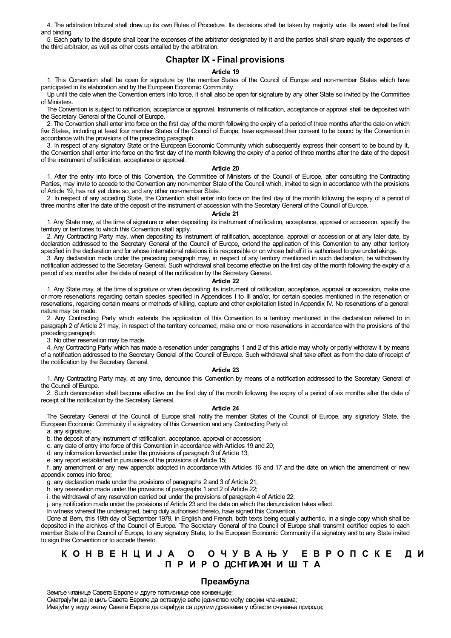4. The arbitration tribunal shall draw up its own Rules of Procedure. Its decisions shall be taken by majority vote. Its award shall be final and binding.

5. Each party to the dispute shall bear the expenses of the arbitrator designated by it and the parties shall share equally the expenses of the third arbitrator, as well as other costs entailed by the arbitration.

# **Chapter IX - Final provisions**

### **Article 19**

1. This Convention shall be open for signature by the member States of the Council of Europe and non-member States which have participated in its elaboration and by the European Economic Community.

Up until the date when the Convention enters into force, it shall also be open for signature by any other State so invited by the Committee of Ministers.

The Convention is subject to ratification, acceptance or approval. Instruments of ratification, acceptance or approval shall be deposited with the Secretary General of the Council of Europe.

2. The Convention shall enter into force on the first day of the month following the expiry of a period of three months after the date on which five States, including at least four member States of the Council of Europe, have expressed their consent to be bound by the Convention in accordance with the provisions of the preceding paragraph.

3. In respect of any signatory State or the European Economic Community which subsequently express their consent to be bound by it, the Convention shall enter into force on the first day of the month following the expiry of a period of three months after the date of the deposit of the instrument of ratification, acceptance or approval.

#### **Article 20**

1. After the entry into force of this Convention, the Committee of Ministers of the Council of Europe, after consulting the Contracting Parties, may invite to accede to the Convention any non-member State of the Council which, invited to sign in accordance with the provisions of Article 19, has not yet done so, and any other non-member State.

2. In respect of any acceding State, the Convention shall enter into force on the first day of the month following the expiry of a period of three months after the date of the deposit of the instrument of accession with the Secretary General of the Council of Europe.

#### **Article 21**

1. Any State may, at the time of signature or when depositing its instrument of ratification, acceptance, approval or accession, specify the territory or territories to which this Convention shall apply.

2. Any Contracting Party may, when depositing its instrument of ratification, acceptance, approval or accession or at any later date, by declaration addressed to the Secretary General of the Council of Europe, extend the application of this Convention to any other territory specified in the declaration and for whose international relations it is responsible or on whose behalf it is authorised to give undertakings.

3. Any declaration made under the preceding paragraph may, in respect of any territory mentioned in such declaration, be withdrawn by notification addressed to the Secretary General. Such withdrawal shall become effective on the first day of the month following the expiry of a period of six months after the date of receipt of the notification by the Secretary General.

#### **Article 22**

1. Any State may, at the time of signature or when depositing its instrument of ratification, acceptance, approval or accession, make one or more reservations regarding certain species specified in Appendices I to III and/or, for certain species mentioned in the reservation or reservations, regarding certain means or methods of killing, capture and other exploitation listed in Appendix IV. No reservations of a general nature may be made.

2. Any Contracting Party which extends the application of this Convention to a territory mentioned in the declaration referred to in paragraph 2 of Article 21 may, in respect of the territory concerned, make one or more reservations in accordance with the provisions of the preceding paragraph.

3. No other reservation may be made.

4. Any Contracting Party which has made a reservation under paragraphs 1 and 2 of this article may wholly or partly withdraw it by means of a notification addressed to the Secretary General of the Council of Europe. Such withdrawal shall take effect as from the date of receipt of the notification by the Secretary General.

#### **Article 23**

1. Any Contracting Party may, at any time, denounce this Convention by means of a notification addressed to the Secretary General of the Council of Europe.

2. Such denunciation shall become effective on the first day of the month following the expiry of a period of six months after the date of receipt of the notification by the Secretary General.

#### **Article 24**

The Secretary General of the Council of Europe shall notify the member States of the Council of Europe, any signatory State, the European Economic Community if a signatory of this Convention and any Contracting Party of: a. any signature;

b. the deposit of any instrument of ratification, acceptance, approval or accession;

c. any date of entry into force of this Convention in accordance with Articles 19 and 20;

d. any information forwarded under the provisions of paragraph 3 of Article 13;

e. any report established in pursuance of the provisions of Article 15;

f. any amendment or any new appendix adopted in accordance with Articles 16 and 17 and the date on which the amendment or new appendix comes into force;

g. any declaration made under the provisions of paragraphs 2 and 3 of Article 21;

h. any reservation made under the provisions of paragraphs 1 and 2 of Article 22;

i. the withdrawal of any reservation carried out under the provisions of paragraph 4 of Article 22;

j. any notification made under the provisions of Article 23 and the date on which the denunciation takes effect.

In witness whereof the undersigned, being duly authorised thereto, have signed this Convention.

Done at Bern, this 19th day of September 1979, in English and French, both texts being equally authentic, in a single copy which shall be deposited in the archives of the Council of Europe. The Secretary General of the Council of Europe shall transmit certified copies to each member State of the Council of Europe, to any signatory State, to the European Economic Community if a signatory and to any State invited to sign this Convention or to accede thereto.

# КОНВЕНЦИЈА О ОЧУВАЊУ ЕВРОПСКЕ ДИ **П Р И Р О ДСНТИАХН И Ш Т А**

### **Преамбула**

Земље чланице Савета Европе и друге потписнице ове конвенције;

Сматрајући да је циљ Савета Европе да остварује веће јединство међу својим чланицама;

Имајући у виду жељу Савета Европе да сарађује са другим државама у области очувања природе;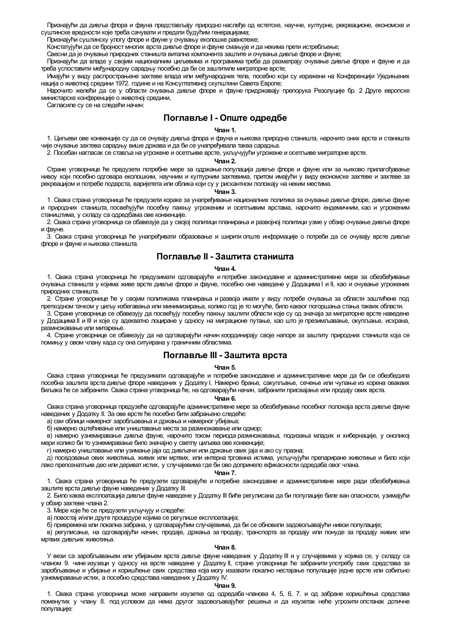Признајући да дивља флора и фауна представљају природно наслеђе од естетске, научне, културне, рекреационе, економске и суштинске вредности које треба сачувати и предати будућим генерацијама;

Признајући суштинску улогу флоре и фауне у очувању еколошке равнотеже;

Констатујући да се бројност многих врста дивље флоре и фауне смањује и да некима прети истребљење;

Свесни да је очување природних станишта витална компонента заштите и очувања дивље флоре и фауне;

Признајући да владе у својим националним циљевима и програмима треба да разматрају очување дивље флоре и фауне и да треба успоставити међународну сарадњу посебно да би се заштитиле миграторне врсте;

Имајући у виду распрострањене захтеве влада или међународних тела, посебно који су изражени на Конференцији Уједињених нација о животној средини 1972. године и на Консултативној скупштини Савета Европе;

Нарочито желећи да се у области очувања дивље флоре и фауне придржавају препорука Резолуције бр. 2 Друге европске министарске конференције о животној средини,

Сагласиле су се на следећи начин:

## **Поглавље I - Опште одредбе**

#### **Члан 1.**

1. Циљеви ове конвенције су да се очувају дивља флора и фауна и њихова природна станишта, нарочито оних врста и станишта чије очување захтева сарадњу више држава и да би се унапређивала таква сарадња.

2. Посебан нагласак се ставља на угрожене и осетљиве врсте, укључујући угрожене и осетљиве миграторне врсте.

### **Члан 2.**

Стране уговорнице ће предузети потребне мере за одржање популација дивље флоре и фауне или за њихово прилагођавање нивоу који посебно одговара еколошким, научним и културним захтевима, притом имајући у виду економске захтеве и захтеве за рекреацијом и потребе подврста, варијетета или облика који су у рискантном положају на неким местима.

#### **Члан 3.**

1. Свака страна уговорница ће предузети кораке за унапређивање националних политика за очување дивље флоре, дивље фауне и природних станишта, посвећујући посебну пажњу угроженим и осетљивим врстама, нарочито ендемичним, као и угроженим стаништима, у складу са одредбама ове конвенције.

2. Свака страна уговорница се обавезује да у својој политици планирања и развојној политици узме у обзир очување дивље флоре и фауне.

3. Свака страна уговорница ће унапређивати образовање и ширити опште информације о потреби да се очувају врсте дивље флоре и фауне и њихова станишта.

# **Поглавље II - Заштита станишта**

### **Члан 4.**

1. Свака страна уговорница ће предузимати одговарајуће и потребне законодавне и административне мере за обезбеђивање очувања станишта у којима живе врсте дивље флоре и фауне, посебно оне наведене у Додацима I и II, као и очување угрожених природних станишта.

2. Стране уговорнице ће у својим политикама планирања и развоја имати у виду потребе очувања за области заштићене под претходном тачком у циљу избегавања или минимизирања, колико год је то могуће, било каквог погоршања стања таквих области.

3. Стране уговорнице се обавезују да посвећују посебну пажњу заштити области које су од значаја за миграторне врсте наведене у Додацима II и III и које су адекватно лоциране у односу на миграционе путање, као што је презимљавање, окупљање, исхрана, размножавање или митарење.

4. Стране уговорнице се обавезују да на одговарајући начин координирају своје напоре за заштиту природних станишта која се помињу у овом члану када су она ситуирана у граничним областима.

# **Поглавље III - Заштита врста**

### **Члан 5.**

Свака страна уговорница ће предузимати одговарајуће и потребне законодавне и административне мере да би се обезбедила посебна заштита врста дивље флоре наведених у Додатку I. Намерно брање, сакупљање, сечење или чупање из корена оваквих биљака ће се забранити. Свака страна уговорница ће, на одговарајући начин, забранити присвајање или продају ових врста.

## **Члан 6.**

Свака страна уговорница предузеће одговарајуће административне мере за обезбеђивање посебног положаја врста дивље фауне наведених у Додатку II. За ове врсте ће посебно бити забрањено следеће:

а) сви облици намерног заробљавања и држања и намерног убијања;

б) намерно оштећивање или уништавање места за размножавање или одмор;

в) намерно узнемиравање дивље фауне, нарочито током периода размножавања, подизања младих и хибернације, у оноликој мери колико би то узнемиравање било значајно у светлу циљева ове конвенције;

г) намерно уништавање или узимање јаја од дивљачи или држање ових јаја и ако су празна;

д) поседовање ових животиња, живих или мртвих, или интерна трговина истима, укључујући препариране животиње и било који лако препознатљив део или дериват истих, у случајевима где би ово допринело ефикасности одредаба овог члана.

#### **Члан 7.**

1. Свака страна уговорница ће предузети одговарајуће и потребне законодавне и административне мере ради обезбеђивања заштите врста дивље фауне наведених у Додатку III.

2. Било каква експлоатација дивље фауне наведене у Додатку III биће регулисана да би популације биле ван опасности, узимајући у обзир захтеве члана 2.

3. Мере које ће се предузети укључују и следеће:

а) ловостај и/или друге процедуре којима се регулише експлоатација;

б) привремена или локална забрана, у одговарајућим случајевима, да би се обновили задовољавајући нивои популације;

в) регулисање, на одговарајући начин, продаје, држања за продају, транспорта за продају или понуде за продају живих или мртвих дивљих животиња.

#### **Члан 8.**

У вези са заробљавањем или убијањем врста дивље фауне наведених у Додатку III и у случајевима у којима се, у складу са чланом 9. чине изузеци у односу на врсте наведене у Додатку II, стране уговорнице ће забранити употребу свих средстава за заробљавање и убијање и коришћење свих средстава која могу изазвати локално нестајање популације једне врсте или озбиљно узнемиравање истих, а посебно средстава наведених у Додатку IV.

#### **Члан 9.**

1. Свака страна уговорница може направити изузетке од одредаба чланова 4, 5, 6, 7. и од забране коришћења средстава поменутих у члану 8. под условом да нема другог задовољавајућег решења и да изузетак неће угрозити опстанак дотичне популације: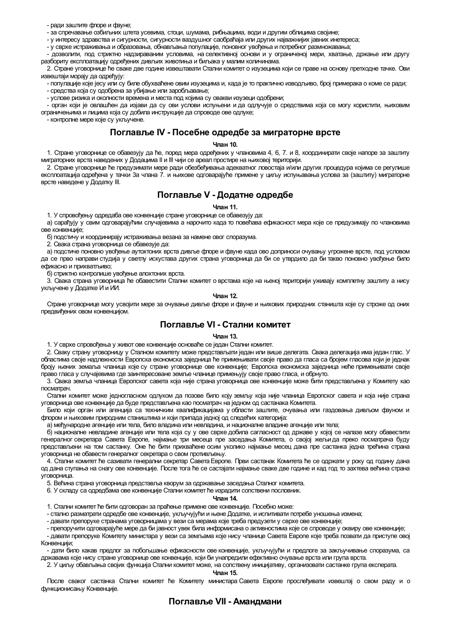- ради заштите флоре и фауне;

- за спречавање озбиљних штета усевима, стоци, шумама, рибњацима, води и другим облицима својине;

- у интересу здравства и сигурности, сигурности ваздушног саобраћаја или других најважнијих јавних инетереса;

- у сврхе истраживања и образовања, обнављања популације, поновног увођења и потребног размножавања;

- дозволити, под стриктно надзираваним условима, на селективној основи и у ограниченој мери, хватање, држање или другу разбориту експлоатацију одређених дивљих животиња и биљака у малим количинама.

2. Стране уговорнице ће сваке две године извештавати Стални комитет о изузецима који се праве на основу претходне тачке. Ови извештаји морају да одређују:

- популације које јесу или су биле обухваћене овим изузецима и, када је то практично изводљиво, број примерака о коме се ради;

- средства која су одобрена за убијање или заробљавање;

- услове ризика и околности времена и места под којима су овакви изузеци одобрени;

- орган који је овлашћен да изјави да су ови услови испуњени и да одлучује о средствима која се могу користити, њиховим ограничењима и лицима која су добила инструкције да спроводе ове одлуке;

- контролне мере које су укључене.

# **Поглавље IV - Посебне одредбе за миграторне врсте**

### **Члан 10.**

1. Стране уговорнице се обавезују да ће, поред мера одређених у члановима 4, 6, 7. и 8, координирати своје напоре за заштиту миграторних врста наведених у Додацима II и III чији се ареал простире на њиховој територији.

2. Стране уговорнице ће предузимати мере ради обезбеђивања адекватног ловостаја и/или других процедура којима се регулише експлоатација одређена у тачки 3а члана 7. и њихове одговарајуће примене у циљу испуњавања услова за (заштиту) миграторне врсте наведене у Додатку III.

# **Поглавље V - Додатне одредбе**

### **Члан 11.**

1. У спровођењу одредаба ове конвенције стране уговорнице се обавезују да:

а) сарађују у свим одговарајућим случајевима а нарочито када то повећава ефикасност мера које се предузимају по члановима ове конвенције;

б) подстичу и координирају истраживања везана за намене овог споразума.

2. Свака страна уговорница се обавезује да:

а) подстиче поновно увођење аутохтоних врста дивље флоре и фауне када ово доприноси очувању угрожене врсте, под условом да се прво направи студија у светлу искустава других страна уговорница да би се утврдило да би такво поновно увођење било ефикасно и прихватљиво;

б) стриктно контролише увођење алохтоних врста.

3. Свака страна уговорница ће обавестити Стални комитет о врстама које на њеној територији уживају комплетну заштиту а нису укључене у Додатке И и ИИ.

### **Члан 12.**

Стране уговорнице могу усвојити мере за очување дивље флоре и фауне и њихових природних станишта које су строже од оних предвиђених овом конвенцијом.

# **Поглавље VI - Стални комитет**

### **Члан 13.**

1. У сврхе спровођења у живот ове конвенције основаће се један Стални комитет.

2. Сваку страну уговорницу у Сталном комитету може представљати један или више делегата. Свака делегација има један глас. У областима своје надлежности Европска економска заједница ће примењивати своје право да гласа са бројем гласова који је једнак броју њених земаља чланица које су стране уговорнице ове конвенције; Европска економска заједница неће примењивати своје право гласа у случајевима где заинтересоване земље чланице примењују своје право гласа, и обрнуто.

3. Свака земља чланица Европског савета која није страна уговорница ове конвенције може бити представљена у Комитету као посматрач.

Стални комитет може једногласном одлуком да позове било коју земљу која није чланица Европског савета и која није страна уговорница ове конвенције да буде представљена као посматрач на једном од састанака Комитета.

Било који орган или агенција са техничким квалификацијама у области заштите, очувања или газдовања дивљом фауном и флором и њиховим природним стаништима и који припада једној од следећих категорија:

а) међународне агенције или тела, било владина или невладина, и националне владине агенције или тела;

б) националне невладине агенције или тела која су у ове сврхе добила сагласност од државе у којој се налазе могу обавестити генералног секретара Савета Европе, најмање три месеца пре заседања Комитета, о својој жељида преко посматрача буду представљени на том састанку. Оне ће бити прихваћене осим уколико најмање месец дана пре састанка једна трећина страна уговорница не обавести генералног секретара о свом противљењу.

4. Стални комитет ће сазивати генерални секретар СаветаЕвропе. Први састанак Комитета ће се одржати у року од годину дана од дана ступања на снагу ове конвенције. После тога ће се састајати најмање сваке две године и кад год то захтева већина страна уговорница.

5. Већина страна уговорница представља кворум за одржавање заседања Сталног комитета.

6. У складу са одредбама ове конвенције Стални комитет ће израдити сопствени пословник.

**Члан 14.**

1. Стални комитет ће бити одговоран за праћење примене ове конвенције. Посебно може:

- стално разматрати одредбе ове конвенције, укључујући и њене Додатке, и испитивати потребе уношења измена;

- давати препоруке странама уговорницама у вези са мерама које треба предузети у сврхе ове конвенције;

- препоручити одговарајуће мере да би јавност увек била информисана о активностима које се спроводе у оквиру ове конвенције;

- давати препоруке Комитету министара у вези са земљама које нису чланице Савета Европе које треба позвати да приступе овој Конвенцији;

- дати било какав предлог за побољшање ефикасности ове конвенције, укључујући и предлоге за закључивање споразума, са државама које нису стране уговорнице ове конвенције, који би унапредили ефективно очување врста или група врста.

2. У циљу обављања својих функција Стални комитет може, на сопствену иницијативу, организовати састанке група експерата.

**Члан 15.**

После сваког састанка Стални комитет ће Комитету министара Савета Европе прослеђивати извештај о свом раду и о функционисању Конвенције.

# **Поглавље VII - Амандмани**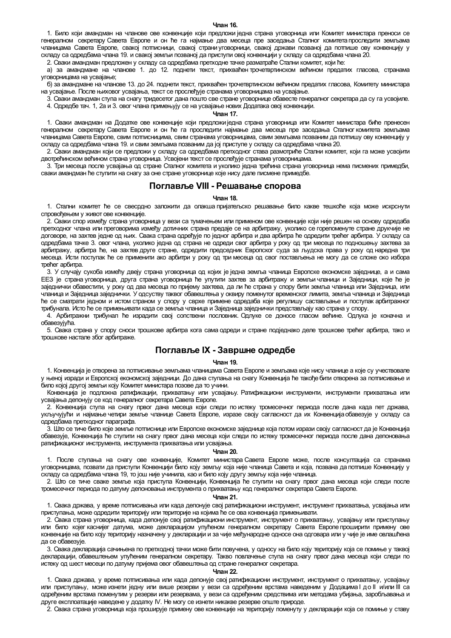#### **Члан 16.**

1. Било који амандман на чланове ове конвенције који предложи једна страна уговорница или Комитет министара преноси се генералном секретару Савета Европе и он ће га најмање два месеца пре заседања Сталног комитета проследити земљама чланицама Савета Европе, свакој потписници, свакој страни уговорници, свакој држави позваној да потпише ову конвенцију у складу са одредбама члана 19. и свакој земљи позваној да приступи овој конвенцији у складу са одредбама члана 20.

2. Сваки амандман предложен у складу са одредбама претходне тачке разматраће Стални комитет, који ће:

а) за амандмане на чланове 1. до 12. поднети текст, прихваћен трочетвртинском већином предатих гласова, странама уговорницама на усвајање;

б) за амандмане на чланове 13. до 24. поднети текст, прихваћен трочетвртинском већином предатих гласова, Комитету министара на усвајање. После њиховог усвајања, текст се прослеђује странама уговорницама на усвајање.

3. Сваки амандман ступа на снагу тридесетог дана пошто све стране уговорнице обавесте генералног секретара да су га усвојиле. 4. Одредбе тач. 1, 2а и 3. овог члана примењују се на усвајање нових Додатака овој конвенцији.

#### **Члан 17.**

1. Сваки амандман на Додатке ове конвенције који предложи једна страна уговорница или Комитет министара биће пренесен генералном секретару Савета Европе и он ће га проследити најмање два месеца пре заседања Сталногкомитета земљама чланицама Савета Европе, свим потписницима, свим странама уговорницама, свим земљама позваним да потпишу ову конвенцију у складу са одредбама члана 19. и свим земљама позваним да јој приступе у складу са одредбама члана 20.

2. Сваки амандман који се предложи у складу са одредбама претходног става размотриће Стални комитет, који га може усвојити двотрећинском већином страна уговорница. Усвојени текст се прослеђује странама уговорницама.

3. Три месеца после усвајања од стране Сталног комитета и уколико једна трећина страна уговорница нема писмених примедби, сваки амандман ће ступити на снагу за оне стране уговорнице које нису дале писмене примедбе.

# **Поглавље VIII - Решавање спорова**

### **Члан 18.**

1. Стални комитет ће се свесрдно заложити да олакша пријатељско решавање било какве тешкоће која може искрснути спровођењем у живот ове конвенције.

2. Сваки спор између страна уговорница у вези са тумачењем или применом ове конвенције који није решен на основу одредаба претходног члана или преговорима између дотичних страна предаје се на арбитражу, уколико се горепоменуте стране друкчије не договоре, на захтев једне од њих. Свака страна одређује по једног арбитра и два арбитра ће одредити трећег арбитра. У складу са одредбама тачке 3. овог члана, уколико једна од страна не одреди свог арбитра у року од три месеца по подношењу захтева за арбитражу, арбитра ће, на захтев друге стране, одредити председник Европског суда за људска права у року од наредна три месеца. Исти поступак ће се применити ако арбитри у року од три месеца од свог постављења не могу да се сложе око избора трећег арбитра.

3. У случају сукоба измећу двеју страна уговорница од којих је једна земља чланица Европске економске заједнице, а и сама ЕЕЗ је страна уговорница, друга страна уговорница ће упутити захтев за арбитражу и земљи чланици и Заједници, које ће је заједнички обавестити, у року од два месеца по пријему захтева, да ли ће страна у спору бити земља чланица или Заједница, или чланица и Заједница заједнички. У одсуству таквог обавештења у оквиру поменутог временског лимита, земља чланица и Заједница ће се сматрати једном и истом страном у спору у сврхе примене одредаба које регулишу састављање и поступак арбитражног трибунала. Исто ће се примењивати када се земља чланица и Заједница заједнички представљају као страна у спору.

4. Арбитражни трибунал ће израдити свој сопствени пословник. Одлуке се доносе гласом већине. Одлука је коначна и обавезујућа.

5. Свака страна у спору сноси трошкове арбитра кога сама одреди и стране подједнако деле трошкове трећег арбитра, тако и трошкове настале због арбитраже.

### **Поглавље IX - Завршне одредбе**

### **Члан 19.**

1. Конвенција је отворена за потписивање земљама чланицама Савета Европе и земљама које нису чланице а које су учествовале у њеној изради и Европској економској заједници. До дана ступања на снагу Конвенција ће такође бити отворена за потписивање и било којој другој земљи коју Комитет министара позове да то учини.

Конвенција је подложна ратификацији, прихватању или усвајању. Ратификациони инструменти, инструменти прихватања или усвајања депонују се код генералног секретара Савета Европе.

2. Конвенција ступа на снагу првог дана месеца који следи по истеку тромесечног периода после дана када пет држава, укључујући и најмање четири земље чланице Савета Европе, изразе своју сагласност да их Конвенција обавезује у складу са одредбама претходног параграфа.

3. Што се тиче било које земље потписнице или Европске економске заједнице која потом изрази своју сагласност да је Конвенција обавезује, Конвенција ће ступити на снагу првог дана месеца који следи по истеку тромесечног периода после дана депоновања ратификационог инструмента, инструмента прихватања или усвајања.

### **Члан 20.**

1. После ступања на снагу ове конвенције, Комитет министара Савета Европе може, после консултација са странама уговорницама, позвати да приступи Конвенцији било коју земљу која није чланица Савета и која, позвана да потпише Конвенцију у складу са одредбама члана 19, то још није учинила, као и било коју другу земљу која није чланица.

2. Што се тиче сваке земље која приступа Конвенцији, Конвенција ће ступити на снагу првог дана месеца који следи после тромесечног периода по датуму депоновања инструмента о прихватању код генералног секретара Савета Европе.

#### **Члан 21.**

1. Свака држава, у време потписивања или када депонује свој ратификациони инструмент, инструмент прихватања, усвајања или приступања, може одредити територију или територије на којима ће се ова конвенција примењивати.

2. Свака страна уговорница, када депонује свој ратификациони инструмент, инструмент о прихватању, усвајању или приступању или било којег каснијег датума, може декларацијом упућеном генералном секретару Савета Европе проширити примену ове конвенције на било коју територију назначену у декларацији и за чије међународне односе она одговара или у чије је име овлашћена да се обавезује.

3. Свака декларација сачињена по претходној тачки може бити повучена, у односу на било коју територију која се помиње у таквој декларацији, обавештењем упућеним генералном секретару. Такво повлачење ступа на снагу првог дана месеца који следи по истеку од шест месеци по датуму пријема овог обавештења од стране генералног секретара.

#### **Члан 22.**

1. Свака држава, у време потписивања или када депонује свој ратификациони инструмент, инструмент о прихватању, усвајању или приступању, може изнети једну или више резерви у вези са одређеним врстама наведеним у Додацима I до II и/или III са одређеним врстама поменутим у резерви или резервама, у вези са одређеним средствима или методама убијања, заробљавања и друге експлоатације наведене у додатку IV. Не могу се изнети никакве резерве опште природе.

2. Свака страна уговорница која проширује примену ове конвенције на територију поменуту у декларацији која се помиње у ставу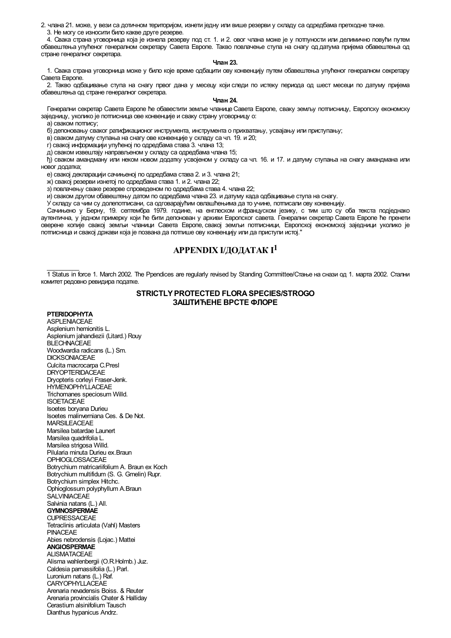2. члана 21. може, у вези са дотичном територијом, изнети једну или више резерви у складу са одредбама претходне тачке.

3. Не могу се износити било какве друге резерве.

4. Свака страна уговорница која је изнела резерву под ст. 1. и 2. овог члана може је у потпуности или делимично повући путем обавештења упућеног генералном секретару Савета Европе. Такво повлачење ступа на снагу од датума пријема обавештења од стране генералног секретара.

### **Члан 23.**

1. Свака страна уговорница може у било које време одбацити ову конвенцију путем обавештења упућеног генералном секретару Савета Европе.

2. Такво одбацивање ступа на снагу првог дана у месецу који следи по истеку периода од шест месеци по датуму пријема обавештења од стране генералног секретара.

#### **Члан 24.**

Генерални секретар Савета Европе ће обавестити земље чланице Савета Европе, сваку земљу потписницу, Европску економску заједницу, уколико је потписница ове конвенције и сваку страну уговорницу о:

а) сваком потпису;

б) депоновању сваког ратификационог инструмента, инструмента о прихватању, усвајању или приступању;

в) сваком датуму ступања на снагу ове конвенције у складу са чл. 19. и 20;

г) свакој информацији упућеној по одредбама става 3. члана 13;

д) сваком извештају направљеном у складу са одредбама члана 15;

ђ) сваком амандману или неком новом додатку усвојеном у складу са чл. 16. и 17. и датуму ступања на снагу амандмана или новог додатка;

е) свакој декларацији сачињеној по одредбама става 2. и 3. члана 21;

ж) свакој резерви изнетој по одредбама става 1. и 2. члана 22;

з) повлачењу сваке резерве спроведеном по одредбама става 4. члана 22;

и) сваком другом обавештењу датом по одредбама члана 23. и датуму када одбацивање ступа на снагу.

У складу са чим су долепотписани, са одговарајућим овлашћењима да то учине, потписали ову конвенцију.

Сачињено у Берну, 19. септембра 1979. године, на енглеском ифранцуском језику, с тим што су оба текста подједнако аутентична, у једном примерку који ће бити депонован у архиви Европског савета. Генерални секретар Савета Европе ће пренети оверене копије свакој земљи чланици Савета Европе, свакој земљи потписници, Европској економској заједници уколико је потписница и свакој држави која је позвана да потпише ову конвенцију или да приступи истој."

# **APPENDIX I/ДОДАТАК I1**

\_\_\_\_\_\_\_\_\_\_ 1 Status in force 1. March 2002. The Ppendices are regularly revised by Standing Committee/Стање на снази од 1. марта 2002. Стални комитет редовно ревидира податке.

### **STRICTLYPROTECTED FLORASPECIES/STROGO ЗАШТИЋЕНЕ ВРСТЕ ФЛОРЕ**

**PTERIDOPHYTA** ASPLENIACEAE

Asplenium hemionitis L. Asplenium jahandiezii (Litard.) Rouy **BLECHNACEAE** Woodwardia radicans (L.) Sm. **DICKSONIACEAE** Culcita macrocarpa C.Presl DRYOPTERIDACEAE Dryopteris corleyi Fraser-Jenk. HYMENOPHYLLACEAE Trichomanes speciosum Willd. **ISOETACEAE** Isoetes boryana Durieu Isoetes malinverniana Ces. & De Not. **MARSILEACEAE** Marsilea batardae Launert Marsilea quadrifolia L. Marsilea strigosa Willd. Pilularia minuta Durieu ex.Braun **OPHIOGLOSSACEAE** Botrychium matricariifolium A. Braun ex Koch Botrychium multifidum (S. G. Gmelin) Rupr. Botrychium simplex Hitchc. Ophioglossum polyphyllum A.Braun SALVINIACEAE Salvinia natans (L.) All. **GYMNOSPERMAE** CUPRESSACEAE Tetraclinis articulata (Vahl) Masters **PINACEAE** Abies nebrodensis (Lojac.) Mattei **ANGIOSPERMAE** ALISMATACEAE Alisma wahlenbergii (O.R.Holmb.) Juz. Caldesia parnassifolia (L.) Parl. Luronium natans (L.) Raf. **CARYOPHYLLACEAE** Arenaria nevadensis Boiss. & Reuter Arenaria provincialis Chater & Halliday Cerastium alsinifolium Tausch Dianthus hypanicus Andrz.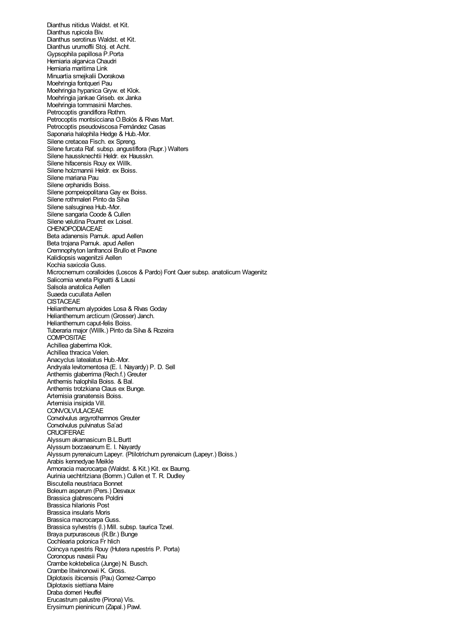Dianthus nitidus Waldst. et Kit. Dianthus rupicola Biv. Dianthus serotinus Waldst. et Kit. Dianthus urumoffii Stoj. et Acht. Gypsophila papillosa P.Porta Herniaria algarvica Chaudri Herniaria maritima Link Minuartia smejkalii Dvorakova Moehringia fontqueri Pau Moehringia hypanica Gryw. et Klok. Moehringia jankae Griseb. ex Janka Moehringia tommasinii Marches. Petrocoptis grandiflora Rothm. Petrocoptis montsicciana O.Bolós & Rivas Mart. Petrocoptis pseudoviscosa Fernández Casas Saponaria halophila Hedge & Hub.-Mor. Silene cretacea Fisch. ex Spreng. Silene furcata Raf. subsp. angustiflora (Rupr.) Walters Silene haussknechtii Heldr. ex Hausskn. Silene hifacensis Rouy ex Willk. Silene holzmannii Heldr. ex Boiss. Silene mariana Pau Silene orphanidis Boiss. Silene pompeiopolitana Gay ex Boiss. Silene rothmaleri Pinto da Silva Silene salsuginea Hub.-Mor. Silene sangaria Coode & Cullen Silene velutina Pourret ex Loisel. CHENOPODIACEAE Beta adanensis Pamuk. apud Aellen Beta trojana Pamuk. apud Aellen Cremnophyton lanfrancoi Brullo et Pavone Kalidiopsis wagenitzii Aellen Kochia saxicola Guss. Microcnemum coralloides (Loscos & Pardo) Font Quer subsp. anatolicum Wagenitz Salicornia veneta Pignatti & Lausi Salsola anatolica Aellen Suaeda cucullata Aellen CISTACEAE Helianthemum alypoides Losa & Rivas Goday Helianthemum arcticum (Grosser) Janch. Helianthemum caput-felis Boiss. Tuberaria major (Willk.) Pinto da Silva & Rozeira **COMPOSITAE** Achillea glaberrima Klok. Achillea thracica Velen. Anacyclus latealatus Hub.-Mor. Andryala levitomentosa (E. I. Nayardy) P. D. Sell Anthemis glaberrima (Rech.f.) Greuter Anthemis halophila Boiss. & Bal. Anthemis trotzkiana Claus ex Bunge. Artemisia granatensis Boiss. Artemisia insipida Vill. **CONVOLVULACEAE** Convolvulus argyrothamnos Greuter Convolvulus pulvinatus Sa'ad CRUCIFERAE Alyssum akamasicum B.L.Burtt Alyssum borzaeanum E. I. Nayardy Alyssum pyrenaicum Lapeyr. (Ptilotrichum pyrenaicum (Lapeyr.) Boiss.) Arabis kennedyae Meikle Armoracia macrocarpa (Waldst. & Kit.) Kit. ex Baumg. Aurinia uechtritziana (Bornm.) Cullen et T. R. Dudley Biscutella neustriaca Bonnet Boleum asperum (Pers.) Desvaux Brassica glabrescens Poldini Brassica hilarionis Post Brassica insularis Moris Brassica macrocarpa Guss. Brassica sylvestris (l.) Mill. subsp. taurica Tzvel. Braya purpurasceus (R.Br.) Bunge Cochlearia polonica Fr hlich Coincya rupestris Rouy (Hutera rupestris P. Porta) Coronopus navasii Pau Crambe koktebelica (Junge) N. Busch. Crambe litwinonowii K. Gross. Diplotaxis ibicensis (Pau) Gomez-Campo Diplotaxis siettiana Maire Draba dorneri Heuffel Erucastrum palustre (Pirona) Vis. Erysimum pieninicum (Zapal.) Pawl.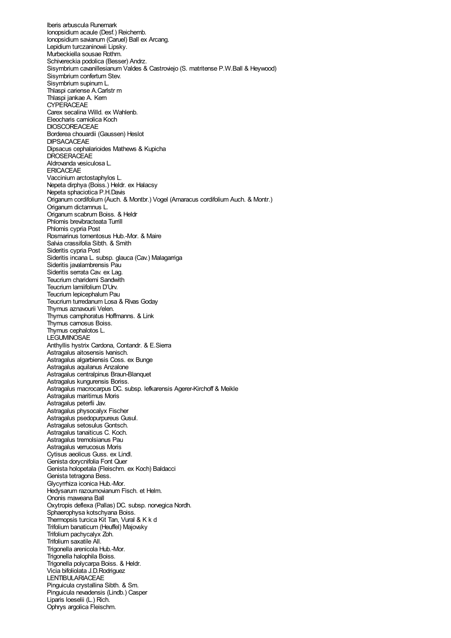Iberis arbuscula Runemark Ionopsidium acaule (Desf.) Reichemb. Ionopsidium savianum (Caruel) Ball ex Arcang. Lepidium turczaninowii Lipsky. Murbeckiella sousae Rothm. Schivereckia podolica (Besser) Andrz. Sisymbrium cavanillesianum Valdes & Castroviejo (S. matritense P.W.Ball & Heywood) Sisymbrium confertum Stev. Sisymbrium supinum L. Thlaspi cariense A.Carlstr m Thlaspi jankae A. Kern **CYPERACEAE** Carex secalina Willd. ex Wahlenb. Eleocharis carniolica Koch **DIOSCOREACEAE** Borderea chouardii (Gaussen) Heslot DIPSACACEAE Dipsacus cephalarioides Mathews & Kupicha **DROSERACEAE** Aldrovanda vesiculosa L. ERICACEAE Vaccinium arctostaphylos L. Nepeta dirphya (Boiss.) Heldr. ex Halacsy Nepeta sphaciotica P.H.Davis Origanum cordifolium (Auch. & Montbr.) Vogel (Amaracus cordifolium Auch. & Montr.) Origanum dictamnus L. Origanum scabrum Boiss. & Heldr Phlomis brevibracteata Turrill Phlomis cypria Post Rosmarinus tomentosus Hub.-Mor. & Maire Salvia crassifolia Sibth. & Smith Sideritis cypria Post Sideritis incana L. subsp. glauca (Cav.) Malagarriga Sideritis javalambrensis Pau Sideritis serrata Cav. ex Lag. Teucrium charidemi Sandwith Teucrium lamiifolium D'Urv. Teucrium lepicephalum Pau Teucrium turredanum Losa & Rivas Goday Thymus aznavourii Velen. Thymus camphoratus Hoffmanns. & Link Thymus carnosus Boiss. Thymus cephalotos L. **LEGUMINOSAE** Anthyllis hystrix Cardona, Contandr. & E.Sierra Astragalus aitosensis Ivanisch. Astragalus algarbiensis Coss. ex Bunge Astragalus aquilanus Anzalone Astragalus centralpinus Braun-Blanquet Astragalus kungurensis Boriss. Astragalus macrocarpus DC. subsp. lefkarensis Agerer-Kirchoff & Meikle Astragalus maritimus Moris Astragalus peterfii Jav. Astragalus physocalyx Fischer Astragalus psedopurpureus Gusul. Astragalus setosulus Gontsch. Astragalus tanaiticus C. Koch. Astragalus tremolsianus Pau Astragalus verrucosus Moris Cytisus aeolicus Guss. ex Lindl. Genista dorycnifolia Font Quer Genista holopetala (Fleischm. ex Koch) Baldacci Genista tetragona Bess. Glycyrrhiza iconica Hub.-Mor. Hedysarum razoumovianum Fisch. et Helm. Ononis maweana Ball Oxytropis deflexa (Pallas) DC. subsp. norvegica Nordh. Sphaerophysa kotschyana Boiss. Thermopsis turcica Kit Tan, Vural & K k d Trifolium banaticum (Heuffel) Majovsky Trifolium pachycalyx Zoh. Trifolium saxatile All. Trigonella arenicola Hub.-Mor. Trigonella halophila Boiss. Trigonella polycarpa Boiss. & Heldr. Vicia bifoliolata J.D.Rodriguez LENTIBULARIACEAE Pinguicula crystallina Sibth. & Sm. Pinguicula nevadensis (Lindb.) Casper Liparis loeselii (L.) Rich. Ophrys argolica Fleischm.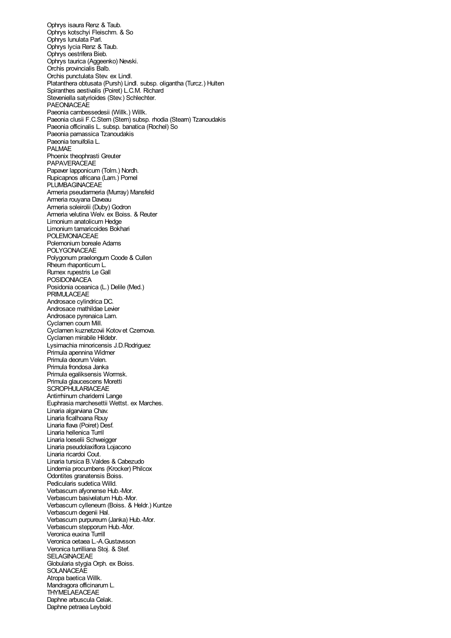Ophrys isaura Renz & Taub. Ophrys kotschyi Fleischm. & So Ophrys lunulata Parl. Ophrys lycia Renz & Taub. Ophrys oestrifera Bieb. Ophrys taurica (Aggeenko) Nevski. Orchis provincialis Balb. Orchis punctulata Stev. ex Lindl. Platanthera obtusata (Pursh) Lindl. subsp. oligantha (Turcz.) Hulten Spiranthes aestivalis (Poiret) L.C.M. Richard Steveniella satyrioides (Stev.) Schlechter. PAEONIACEAE Paeonia cambessedesii (Willk.) Willk. Paeonia clusii F.C.Stern (Stern) subsp. rhodia (Stearn) Tzanoudakis Paeonia officinalis L. subsp. banatica (Rochel) So Paeonia parnassica Tzanoudakis Paeonia tenuifolia L. PALMAE Phoenix theophrasti Greuter PAPAVERACEAE Papaver lapponicum (Tolm.) Nordh. Rupicapnos africana (Lam.) Pomel **PLUMBAGINACEAE** Armeria pseudarmeria (Murray) Mansfeld Armeria rouyana Daveau Armeria soleirolii (Duby) Godron Armeria velutina Welv. ex Boiss. & Reuter Limonium anatolicum Hedge Limonium tamaricoides Bokhari POLEMONIACEAE Polemonium boreale Adams POLYGONACEAE Polygonum praelongum Coode & Cullen Rheum rhaponticum L. Rumex rupestris Le Gall POSIDONIACEA Posidonia oceanica (L.) Delile (Med.) PRIMULACEAE Androsace cylindrica DC. Androsace mathildae Levier Androsace pyrenaica Lam. Cyclamen coum Mill. Cyclamen kuznetzovii Kotovet Czernova. Cyclamen mirabile Hildebr. Lysimachia minoricensis J.D.Rodriguez Primula apennina Widmer Primula deorum Velen. Primula frondosa Janka Primula egaliksensis Wormsk. Primula glaucescens Moretti **SCROPHULARIACEAE** Antirrhinum charidemi Lange Euphrasia marchesettii Wettst. ex Marches. Linaria algarviana Chav. Linaria ficalhoana Rouy Linaria flava (Poiret) Desf. Linaria hellenica Turril Linaria loeselii Schweigger Linaria pseudolaxiflora Lojacono Linaria ricardoi Cout. Linaria tursica B.Valdes & Cabezudo Lindernia procumbens (Krocker) Philcox Odontites granatensis Boiss. Pedicularis sudetica Willd. Verbascum afyonense Hub.-Mor. Verbascum basivelatum Hub.-Mor. Verbascum cylleneum (Boiss. & Heldr.) Kuntze Verbascum degenii Hal. Verbascum purpureum (Janka) Hub.-Mor. Verbascum stepporum Hub.-Mor. Veronica euxina Turrill Veronica oetaea L.-A.Gustavsson Veronica turrilliana Stoj. & Stef. SELAGINACEAE Globularia stygia Orph. ex Boiss. SOLANACEAE Atropa baetica Willk. Mandragora officinarum L. **THYMELAEACEAE** Daphne arbuscula Celak. Daphne petraea Leybold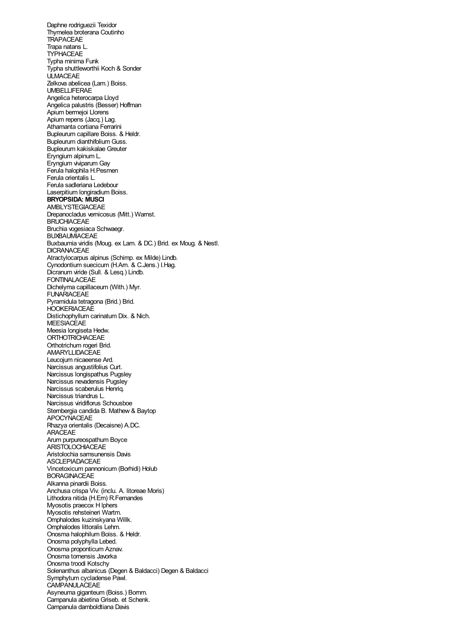Daphne rodriguezii Texidor Thymelea broterana Coutinho **TRAPACEAE** Trapa natans L. **TYPHACEAE** Typha minima Funk Typha shuttleworthii Koch & Sonder ULMACEAE Zelkova abelicea (Lam.) Boiss. UMBELLIFERAE Angelica heterocarpa Lloyd Angelica palustris (Besser) Hoffman Apium bermejoi Llorens Apium repens (Jacq.) Lag. Athamanta cortiana Ferrarini Bupleurum capillare Boiss. & Heldr. Bupleurum dianthifolium Guss. Bupleurum kakiskalae Greuter Eryngium alpinum L. Eryngium viviparum Gay Ferula halophila H.Pesmen Ferula orientalis L. Ferula sadleriana Ledebour Laserpitium longiradium Boiss. **BRYOPSIDA: MUSCI** AMBLYSTEGIACEAE Drepanocladus vernicosus (Mitt.) Warnst. **BRUCHIACEAE** Bruchia vogesiaca Schwaegr. **BUXBAUMIACEAE** Buxbaumia viridis (Moug. ex Lam. & DC.) Brid. ex Moug. & Nestl. DICRANACEAE Atractylocarpus alpinus (Schimp. ex Milde) Lindb. Cynodontium suecicum (H.Arn. & C.Jens.) I.Hag. Dicranum viride (Sull. & Lesq.) Lindb. FONTINALACEAE Dichelyma capillaceum (With.) Myr. **FUNARIACEAE** Pyramidula tetragona (Brid.) Brid. **HOOKERIACEAE** Distichophyllum carinatum Dix. & Nich. **MEESIACEAE** Meesia longiseta Hedw. **ORTHOTRICHACEAE** Orthotrichum rogeri Brid. AMARYLLIDACEAE Leucojum nicaeense Ard. Narcissus angustifolius Curt. Narcissus longispathus Pugsley Narcissus nevadensis Pugsley Narcissus scaberulus Henriq. Narcissus triandrus L. Narcissus viridiflorus Schousboe Sternbergia candida B. Mathew & Baytop **APOCYNACEAE** Rhazya orientalis (Decaisne) A.DC. ARACEAE Arum purpureospathum Boyce ARISTOLOCHIACEAE Aristolochia samsunensis Davis ASCLEPIADACEAE Vincetoxicum pannonicum (Borhidi) Holub **BORAGINACEAE** Alkanna pinardii Boiss. Anchusa crispa Viv. (inclu. A. litoreae Moris) Lithodora nitida (H.Ern) R.Fernandes Myosotis praecox H lphers Myosotis rehsteineri Wartm. Omphalodes kuzinskyana Willk. Omphalodes littoralis Lehm. Onosma halophilum Boiss. & Heldr. Onosma polyphylla Lebed. Onosma proponticum Aznav. Onosma tornensis Javorka Onosma troodi Kotschy Solenanthus albanicus (Degen & Baldacci) Degen & Baldacci Symphytum cycladense Pawl. CAMPANULACEAE Asyneuma giganteum (Boiss.) Bornm. Campanula abietina Griseb. et Schenk. Campanula damboldtiana Davis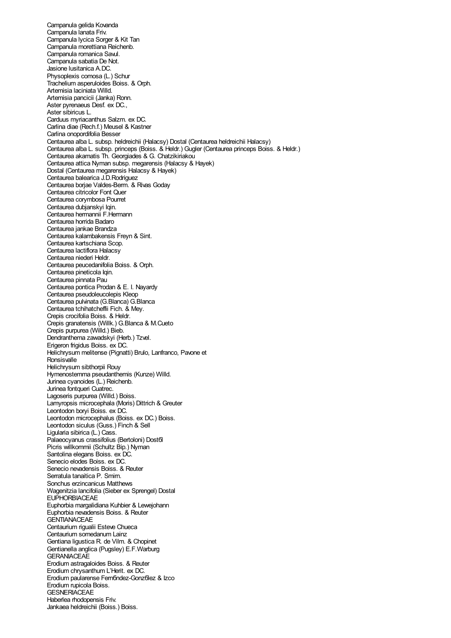Campanula gelida Kovanda Campanula lanata Friv. Campanula lycica Sorger & Kit Tan Campanula morettiana Reichenb. Campanula romanica Savul. Campanula sabatia De Not. Jasione lusitanica A.DC. Physoplexis comosa (L.) Schur Trachelium asperuloides Boiss. & Orph. Artemisia laciniata Willd. Artemisia pancicii (Janka) Ronn. Aster pyrenaeus Desf. ex DC., Aster sibiricus L. Carduus myriacanthus Salzm. ex DC. Carlina diae (Rech.f.) Meusel & Kastner Carlina onopordifolia Besser Centaurea alba L. subsp. heldreichii (Halacsy) Dostal (Centaurea heldreichii Halacsy) Centaurea alba L. subsp. princeps (Boiss. & Heldr.) Gugler (Centaurea princeps Boiss. & Heldr.) Centaurea akamatis Th. Georgiades & G. Chatzikiriakou Centaurea attica Nyman subsp. megarensis (Halacsy & Hayek) Dostal (Centaurea megarensis Halacsy & Hayek) Centaurea balearica J.D.Rodriguez Centaurea borjae Valdes-Berm. & Rivas Goday Centaurea citricolor Font Quer Centaurea corymbosa Pourret Centaurea dubjanskyi Iqin. Centaurea hermannii F.Hermann Centaurea horrida Badaro Centaurea jankae Brandza Centaurea kalambakensis Freyn & Sint. Centaurea kartschiana Scop. Centaurea lactiflora Halacsy Centaurea niederi Heldr. Centaurea peucedanifolia Boiss. & Orph. Centaurea pineticola Iqin. Centaurea pinnata Pau Centaurea pontica Prodan & E. I. Nayardy Centaurea pseudoleucolepis Kleop Centaurea pulvinata (G.Blanca) G.Blanca Centaurea tchihatcheffii Fich. & Mey. Crepis crocifolia Boiss. & Heldr. Crepis granatensis (Willk.) G.Blanca & M.Cueto Crepis purpurea (Willd.) Bieb. Dendranthema zawadskyi (Herb.) Tzvel. Erigeron frigidus Boiss. ex DC. Helichrysum melitense (Pignatti) Brulo, Lanfranco, Pavone et **Ronsisvalle** Helichrysum sibthorpii Rouy Hymenostemma pseudanthemis (Kunze) Willd. Jurinea cyanoides (L.) Reichenb. Jurinea fontqueri Cuatrec. Lagoseris purpurea (Willd.) Boiss. Lamyropsis microcephala (Moris) Dittrich & Greuter Leontodon boryi Boiss. ex DC. Leontodon microcephalus (Boiss. ex DC.) Boiss. Leontodon siculus (Guss.) Finch & Sell Ligularia sibirica (L.) Cass. Palaeocyanus crassifolius (Bertoloni) Dostбl Picris willkommii (Schultz Bip.) Nyman Santolina elegans Boiss. ex DC. Senecio elodes Boiss. ex DC. Senecio nevadensis Boiss. & Reuter Serratula tanaitica P. Smirn. Sonchus erzincanicus Matthews Wagenitzia lancifolia (Sieber ex Sprengel) Dostal **EUPHORBIACEAE** Euphorbia margalidiana Kuhbier & Lewejohann Euphorbia nevadensis Boiss. & Reuter **GENTIANACEAE** Centaurium rigualii Esteve Chueca Centaurium somedanum Lainz Gentiana ligustica R. de Vilm. & Chopinet Gentianella anglica (Pugsley) E.F.Warburg **GERANIACEAE** Erodium astragaloides Boiss. & Reuter Erodium chrysanthum L'Herit. ex DC. Erodium paularense Fernбndez-Gonzбlez & Izco Erodium rupicola Boiss. **GESNERIACEAE** Haberlea rhodopensis Friv. Jankaea heldreichii (Boiss.) Boiss.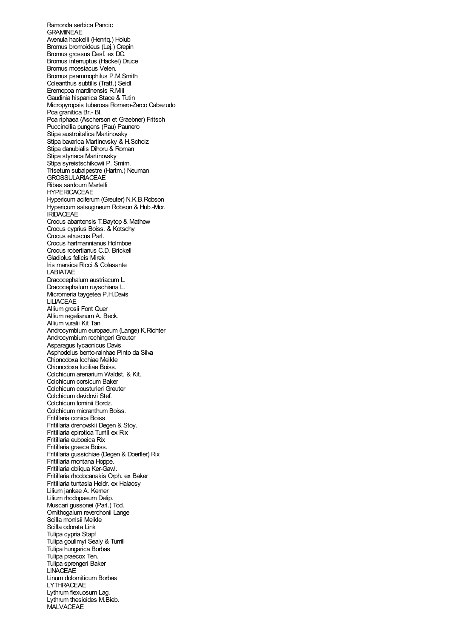Ramonda serbica Pancic GRAMINEAE Avenula hackelii (Henriq.) Holub Bromus bromoideus (Lej.) Crepin Bromus grossus Desf. ex DC. Bromus interruptus (Hackel) Druce Bromus moesiacus Velen. Bromus psammophilus P.M.Smith Coleanthus subtilis (Tratt.) Seidl Eremopoa mardinensis R.Mill Gaudinia hispanica Stace & Tutin Micropyropsis tuberosa Romero-Zarco Cabezudo Poa granitica Br.- Bl. Poa riphaea (Ascherson et Graebner) Fritsch Puccinellia pungens (Pau) Paunero Stipa austroitalica Martinovsky Stipa bavarica Martinovsky & H.Scholz Stipa danubialis Dihoru & Roman Stipa styriaca Martinovsky Stipa syreistschikowii P. Smirn. Trisetum subalpestre (Hartm.) Neuman GROSSULARIACEAE Ribes sardoum Martelli HYPERICACEAE Hypericum aciferum (Greuter) N.K.B.Robson Hypericum salsugineum Robson & Hub.-Mor. IRIDACEAE Crocus abantensis T.Baytop & Mathew Crocus cyprius Boiss. & Kotschy Crocus etruscus Parl. Crocus hartmannianus Holmboe Crocus robertianus C.D. Brickell Gladiolus felicis Mirek Iris marsica Ricci & Colasante LABIATAE Dracocephalum austriacum L. Dracocephalum ruyschiana L. Micromeria taygetea P.H.Davis LILIACEAE Allium grosii Font Quer Allium regelianum A. Beck. Allium vuralii Kit Tan Androcymbium europaeum (Lange) K.Richter Androcymbium rechingeri Greuter Asparagus lycaonicus Davis Asphodelus bento-rainhae Pinto da Silva Chionodoxa lochiae Meikle Chionodoxa luciliae Boiss. Colchicum arenarium Waldst. & Kit. Colchicum corsicum Baker Colchicum cousturieri Greuter Colchicum davidovii Stef. Colchicum fominii Bordz. Colchicum micranthum Boiss. Fritillaria conica Boiss. Fritillaria drenovskii Degen & Stoy. Fritillaria epirotica Turrill ex Rix Fritillaria euboeica Rix Fritillaria graeca Boiss. Fritillaria gussichiae (Degen & Doerfler) Rix Fritillaria montana Hoppe. Fritillaria obliqua Ker-Gawl. Fritillaria rhodocanakis Orph. ex Baker Fritillaria tuntasia Heldr. ex Halacsy Lilium jankae A. Kerner Lilium rhodopaeum Delip. Muscari gussonei (Parl.) Tod. Ornithogalum reverchonii Lange Scilla morrisii Meikle Scilla odorata Link Tulipa cypria Stapf Tulipa goulimyi Sealy & Turrill Tulipa hungarica Borbas Tulipa praecox Ten. Tulipa sprengeri Baker LINACEAE Linum dolomiticum Borbas LYTHRACEAE Lythrum flexuosum Lag. Lythrum thesioides M.Bieb. MAI VACEAE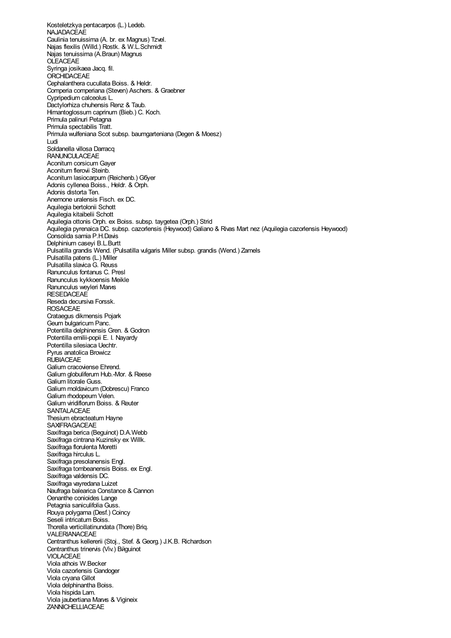Kosteletzkya pentacarpos (L.) Ledeb. **NAJADACEAE** Caulinia tenuissima (A. br. ex Magnus) Tzvel. Najas flexilis (Willd.) Rostk. & W.L.Schmidt Najas tenuissima (A.Braun) Magnus **OLEACEAE** Syringa josikaea Jacq. fil. ORCHIDACEAE Cephalanthera cucullata Boiss. & Heldr. Comperia comperiana (Steven) Aschers. & Graebner Cypripedium calceolus L. Dactylorhiza chuhensis Renz & Taub. Himantoglossum caprinum (Bieb.) C. Koch. Primula palinuri Petagna Primula spectabilis Tratt. Primula wulfeniana Scot subsp. baumgarteniana (Degen & Moesz) Ludi Soldanella villosa Darracq RANUNCULACEAE Aconitum corsicum Gayer Aconitum flerovii Steinb. Aconitum lasiocarpum (Reichenb.) Gбyer Adonis cyllenea Boiss., Heldr. & Orph. Adonis distorta Ten. Anemone uralensis Fisch. ex DC. Aquilegia bertolonii Schott Aquilegia kitaibelii Schott Aquilegia ottonis Orph. ex Boiss. subsp. taygetea (Orph.) Strid Aquilegia pyrenaica DC. subsp. cazorlensis (Heywood) Galiano & Rivas Mart nez (Aquilegia cazorlensis Heywood) Consolida samia P.H.Davis Delphinium caseyi B.L.Burtt Pulsatilla grandis Wend. (Pulsatilla vulgaris Miller subsp. grandis (Wend.) Zamels Pulsatilla patens (L.) Miller Pulsatilla slavica G. Reuss Ranunculus fontanus C. Presl Ranunculus kykkoensis Meikle Ranunculus weyleri Marиs RESEDACEAE Reseda decursiva Forssk. ROSACEAE Crataegus dikmensis Pojark Geum bulgaricum Panc. Potentilla delphinensis Gren. & Godron Potentilla emilii-popii E. I. Nayardy Potentilla silesiaca Uechtr. Pyrus anatolica Browicz RUBIACEAE Galium cracoviense Ehrend. Galium globuliferum Hub.-Mor. & Reese Galium litorale Guss. Galium moldavicum (Dobrescu) Franco Galium rhodopeum Velen. Galium viridiflorum Boiss. & Reuter SANTALACEAE Thesium ebracteatum Hayne **SAXIFRAGACEAE** Saxifraga berica (Beguinot) D.A.Webb Saxifraga cintrana Kuzinsky ex Willk. Saxifraga florulenta Moretti Saxifraga hirculus L. Saxifraga presolanensis Engl. Saxifraga tombeanensis Boiss. ex Engl. Saxifraga valdensis DC. Saxifraga vayredana Luizet Naufraga balearica Constance & Cannon Oenanthe conioides Lange Petagnia saniculifolia Guss. Rouya polygama (Desf.) Coincy Seseli intricatum Boiss. Thorella verticillatinundata (Thore) Briq. VALERIANACEAE Centranthus kellererii (Stoj., Stef. & Georg.) J.K.B. Richardson Centranthus trinervis (Viv.) Bйguinot VIOLACEAE Viola athois W.Becker Viola cazorlensis Gandoger Viola cryana Gillot Viola delphinantha Boiss. Viola hispida Lam. Viola jaubertiana Marиs & Vigineix **ZANNICHELLIACEAE**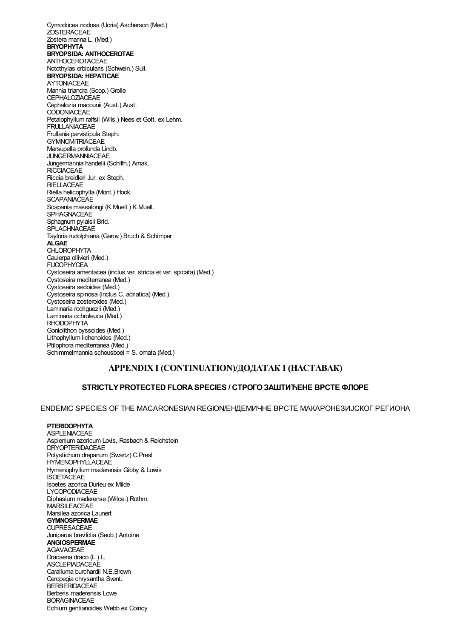Cymodocea nodosa (Ucria) Ascherson (Med.) **ZOSTERACEAE** Zostera marina L. (Med.) **BRYOPHYTA BRYOPSIDA: ANTHOCEROTAE** ANTHOCEROTACEAE Notothylas orbicularis (Schwein.) Sull. **BRYOPSIDA: HEPATICAE** AYTONIACEAE Mannia triandra (Scop.) Grolle **CEPHALOZIACEAE** Cephalozia macounii (Aust.) Aust. **CODONIACEAE** Petalophyllum ralfsii (Wils.) Nees et Gott. ex Lehm. **FRULLANIACEAE** Frullania parvistipula Steph. **GYMNOMITRIACEAE** Marsupella profunda Lindb. JUNGERMANNIACEAE Jungermannia handelii (Schiffn.) Amak. **RICCIACEAE** Riccia breidleri Jur. ex Steph. **RIELLACEAE** Riella helicophylla (Mont.) Hook. **SCAPANIACEAE** Scapania massalongi (K.Muell.) K.Muell. **SPHAGNACEAE** Sphagnum pylaisii Brid. **SPLACHNACEAE** Tayloria rudolphiana (Garov.) Bruch & Schimper **ALGAE CHLOROPHYTA** Caulerpa ollivieri (Med.) **FUCOPHYCEA** Cystoseira amentacea (inclus var. stricta et var. spicata) (Med.) Cystoseira mediterranea (Med.) Cystoseira sedoides (Med.) Cystoseira spinosa (inclus C. adriatica) (Med.) Cystoseira zosteroides (Med.) Laminaria rodriguezii (Med.) Laminaria ochroleuca (Med.) **RHODOPHYTA** Goniolithon byssoides (Med.) Lithophyllum lichenoides (Med.) Ptilophora mediterranea (Med.) Schimmelmannia schousboei = S. ornata (Med.)

# **APPENDIX I (CONTINUATION)/ДОДАТАК I (НАСТАВАК)**

# **STRICTLYPROTECTED FLORASPECIES / СТРОГОЗАШТИЋЕНЕ ВРСТЕ ФЛОРЕ**

### ENDEMIC SPECIES OF THE MACARONESIAN REGION/ЕНДЕМИЧНЕ ВРСТЕ МАКАРОНЕЗИЈСКОГ РЕГИОНА

# **PTERIDOPHYTA**

ASPLENIACEAE Asplenium azoricum Lovis, Rasbach & Reichstein DRYOPTERIDACEAE Polystichum drepanum (Swartz) C.Presl **HYMENOPHYLLACEAE** Hymenophyllum maderensis Gibby & Lowis ISOETACEAE Isoetes azorica Durieu ex Milde LYCOPODIACEAE Diphasium maderense (Wilce.) Rothm. **MARSILEACEAE** Marsilea azorica Launert **GYMNOSPERMAE** CUPRESACEAE Juniperus brevifolia (Seub.) Antoine **ANGIOSPERMAE** AGAVACEAE Dracaena draco (L.) L. ASCLEPIADACEAE Caralluma burchardii N.E.Brown Ceropegia chrysantha Svent. BERBERIDACEAE Berberis maderensis Lowe BORAGINACEAE Echium gentianoides Webb ex Coincy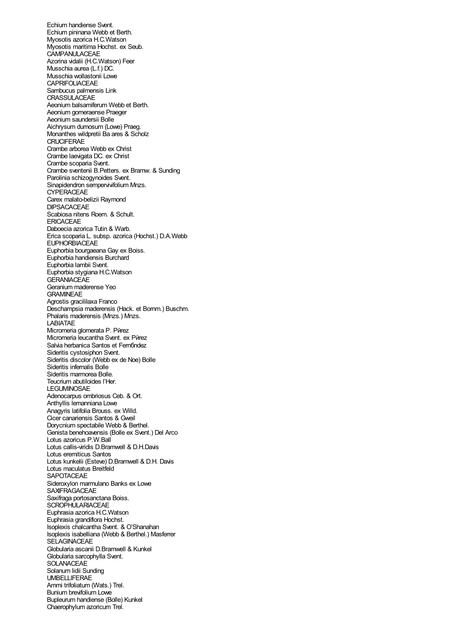Echium handiense Svent. Echium pininana Webb et Berth. Myosotis azorica H.C.Watson Myosotis maritima Hochst. ex Seub. **CÁMPANULACEAE** Azorina vidalii (H.C.Watson) Feer Musschia aurea (L.f.) DC. Musschia wollastonii Lowe CAPRIFOLIACEAE Sambucus palmensis Link **CRASSULACEAE** Aeonium balsamiferum Webb et Berth. Aeonium gomeraense Praeger Aeonium saundersii Bolle Aichrysum dumosum (Lowe) Praeg. Monanthes wildpretii Ba ares & Scholz CRUCIFERAE Crambe arborea Webb ex Christ Crambe laevigata DC. ex Christ Crambe scoparia Svent. Crambe sventenii B.Petters. ex Bramw. & Sunding Parolinia schizogynoides Svent. Sinapidendron sempervivifolium Mnzs. CYPERACEAE Carex malato-belizii Raymond **DIPSACACEAE** Scabiosa nitens Roem. & Schult. ERICACEAE Daboecia azorica Tutin & Warb. Erica scoparia L. subsp. azorica (Hochst.) D.A.Webb **EUPHORBIACEAE** Euphorbia bourgaeana Gay ex Boiss. Euphorbia handiensis Burchard Euphorbia lambii Svent. Euphorbia stygiana H.C.Watson **GERANIACEAE** Geranium maderense Yeo **GRAMINEAF** Agrostis gracililaxa Franco Deschampsia maderensis (Hack. et Bornm.) Buschm. Phalaris maderensis (Mnzs.) Mnzs. LABIATAE Micromeria glomerata P. Pйrez Micromeria leucantha Svent. ex Pйrez Salvia herbanica Santos et Fernбndez Sideritis cystosiphon Svent. Sideritis discolor (Webb ex de Noe) Bolle Sideritis infernalis Bolle Sideritis marmorea Bolle. Teucrium abutiloides l'Her. LEGUMINOSAE Adenocarpus ombriosus Ceb. & Ort. Anthyllis lemanniana Lowe Anagyris latifolia Brouss. ex Willd. Cicer canariensis Santos & Gweil Dorycnium spectabile Webb & Berthel. Genista benehoavensis (Bolle ex Svent.) Del Arco Lotus azoricus P.W.Ball Lotus callis-viridis D.Bramwell & D.H.Davis Lotus eremiticus Santos Lotus kunkelii (Esteve) D.Bramwell & D.H. Davis Lotus maculatus Breitfeld **SAPOTACEAE** Sideroxylon marmulano Banks ex Lowe **SAXIFRAGACEAE** Saxifraga portosanctana Boiss. **SCROPHULARIACEAE** Euphrasia azorica H.C.Watson Euphrasia grandiflora Hochst. Isoplexis chalcantha Svent. & O'Shanahan Isoplexis isabelliana (Webb & Berthel.) Masferrer SELAGINACEAE Globularia ascanii D.Bramwell & Kunkel Globularia sarcophylla Svent. SOLANACEAE Solanum lidii Sunding UMBELLIFERAE Ammi trifoliatum (Wats.) Trel. Bunium brevifolium Lowe Bupleurum handiense (Bolle) Kunkel Chaerophylum azoricum Trel.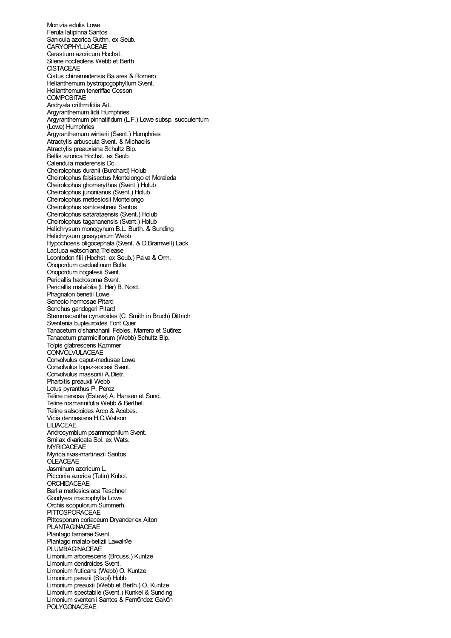Monizia edulis Lowe Ferula latipinna Santos Sanicula azorica Guthn. ex Seub. CARYOPHYLLACEAE Cerastium azoricum Hochst. Silene nocteolens Webb et Berth **CISTACEAE** Cistus chinamadensis Ba ares & Romero Helianthemum bystropogophyllum Svent. Helianthemum teneriffae Cosson **COMPOSITAE** Andryala crithmifolia Ait. Argyranthemum lidii Humphries Argyranthemum pinnatifidum (L.F.) Lowe subsp. succulentum (Lowe) Humphries Argyranthemum winterii (Svent.) Humphries Atractylis arbuscula Svent. & Michaelis Atractylis preauxiana Schultz Bip. Bellis azorica Hochst. ex Seub. Calendula maderensis Dc. Cheirolophus duranii (Burchard) Holub Cheirolophus falsisectus Montelongo et Moraleda Cheirolophus ghomerythus (Svent.) Holub Cheirolophus junonianus (Svent.) Holub Cheirolophus metlesicsii Montelongo Cheirolophus santosabreui Santos Cheirolophus satarataensis (Svent.) Holub Cheirolophus tagananensis (Svent.) Holub Helichrysum monogynum B.L. Burth. & Sunding Helichrysum gossypinum Webb Hypochoeris oligocephala (Svent. & D.Bramwell) Lack Lactuca watsoniana Trelease Leontodon filii (Hochst. ex Seub.) Paiva & Orm. Onopordum carduelinum Bolle Onopordum nogalesii Svent. Pericallis hadrosoma Svent. Pericallis malvifolia (L'Hйr) B. Nord. Phagnalon benetii Lowe Senecio hermosae Pitard Sonchus gandogeri Pitard Stemmacantha cynaroides (C. Smith in Bruch) Dittrich Sventenia bupleuroides Font Quer Tanacetum o'shanahanii Febles. Marrero et Suбrez Tanacetum ptarmiciflorum (Webb) Schultz Bip. Tolpis glabrescens Kдmmer **CONVOLVULACEAE** Convolvulus caput-medusae Lowe Convolvulus lopez-socasi Svent. Convolvulus massonii A.Dietr. Pharbitis preauxii Webb Lotus pyranthus P. Perez Teline nervosa (Esteve) A. Hansen et Sund. Teline rosmarinifolia Webb & Berthel. Teline salsoloides Arco & Acebes. Vicia dennesiana H.C.Watson LILIACEAE Androcymbium psammophilum Svent. Smilax divaricata Sol. ex Wats. MYRICACEAE Myrica rivas-martinezii Santos. **OLEACEAE** Jasminum azoricum L. Picconia azorica (Tutin) Knbol. **ORCHIDACEAE** Barlia metlesicsiaca Teschner Goodyera macrophylla Lowe Orchis scopulorum Summerh. **PITTOSPORACEAE** Pittosporum coriaceum Dryander ex Aiton PLANTAGINACEAE Plantago famarae Svent. Plantago malato-belizii Lawalrйe **PLUMBAGINACEAE** Limonium arborescens (Brouss.) Kuntze Limonium dendroides Svent. Limonium fruticans (Webb) O. Kuntze Limonium perezii (Stapf) Hubb. Limonium preauxii (Webb et Berth.) O. Kuntze Limonium spectabile (Svent.) Kunkel & Sunding Limonium sventenii Santos & Fernбndez Galvбn POLYGONACEAE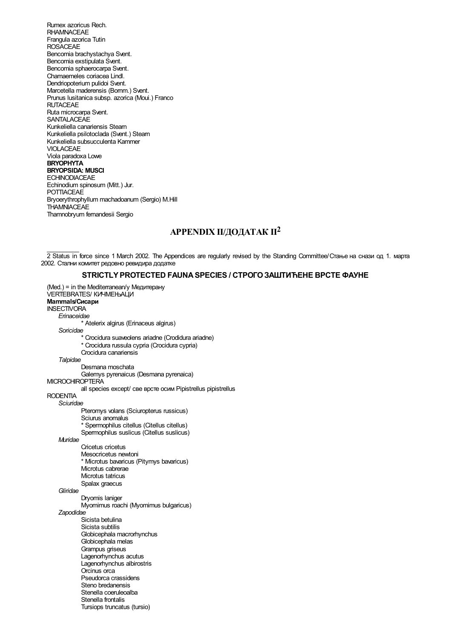Rumex azoricus Rech. **RHAMNACEAE** Frangula azorica Tutin ROSACEAE Bencomia brachystachya Svent. Bencomia exstipulata Svent. Bencomia sphaerocarpa Svent. Chamaemeles coriacea Lindl. Dendriopoterium pulidoi Svent. Marcetella maderensis (Bornm.) Svent. Prunus lusitanica subsp. azorica (Moui.) Franco RUTACEAE Ruta microcarpa Svent. **SANTALACEAE** Kunkeliella canariensis Stearn Kunkeliella psilotoclada (Svent.) Stearn Kunkeliella subsucculenta Kammer VIOLACEAE Viola paradoxa Lowe **BRYOPHYTA BRYOPSIDA: MUSCI** ECHINODIACEAE Echinodium spinosum (Mitt.) Jur. **POTTIACEAE** Bryoerythrophyllum machadoanum (Sergio) M.Hill THAMNIACEAE Thamnobryum fernandesii Sergio

\_\_\_\_\_\_\_\_\_\_

# **APPENDIX II/ДОДАТАК II2**

2 Status in force since 1 March 2002. The Appendices are regularly revised by the Standing Committee/Стање на снази од 1. марта 2002. Стални комитет редовно ревидира додатке

### **STRICTLYPROTECTED FAUNASPECIES / СТРОГОЗАШТИЋЕНЕ ВРСТЕ ФАУНЕ**

(Med.) = in the Mediterranean/у Медитерану VERTEBRATES/ КИЧМЕЊАЦИ **Mammals/Сисари INSECTIVORA** *Erinaceidae* \* Atelerix algirus (Erinaceus algirus) *Soricidae* \* Crocidura suaveolens ariadne (Crodidura ariadne) \* Crocidura russula cypria (Crocidura cypria) Crocidura canariensis *Talpidae* Desmana moschata Galemys pyrenaicus (Desmana pyrenaica) **MICROCHIROPTERA** all species except/ све врсте осим Pipistrellus pipistrellus **RODENTIA** *Sciuridae* Pteromys volans (Sciuropterus russicus) Sciurus anomalus \* Spermophilus citellus (Citellus citellus) Spermophilus suslicus (Citellus suslicus) *Muridae* Cricetus cricetus Mesocricetus newtoni \* Microtus bavaricus (Pitymys bavaricus) Microtus cabrerae Microtus tatricus Spalax graecus *Gliridae* Dryomis laniger Myomimus roachi (Myomimus bulgaricus) *Zapodidae* Sicista betulina Sicista subtilis Globicephala macrorhynchus Globicephala melas Grampus griseus Lagenorhynchus acutus Lagenorhynchus albirostris Orcinus orca Pseudorca crassidens Steno bredanensis Stenella coeruleoalba Stenella frontalis Tursiops truncatus (tursio)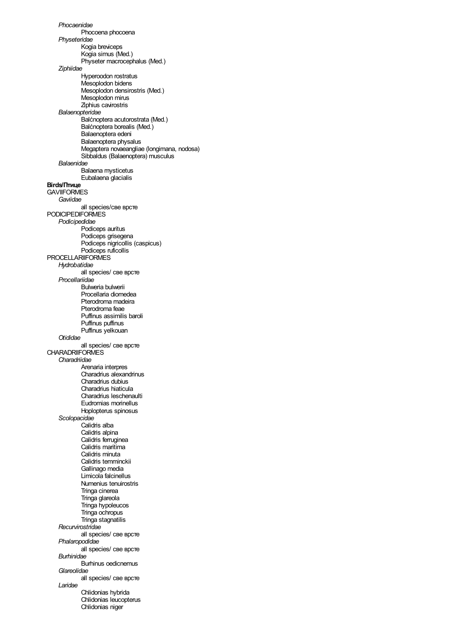*Phocaenidae* Phocoena phocoena *Physeteridae* Kogia breviceps Kogia simus (Med.) Physeter macrocephalus (Med.) *Ziphiidae* Hyperoodon rostratus Mesoplodon bidens Mesoplodon densirostris (Med.) Mesoplodon mirus Ziphius cavirostris *Balaenopteridae* Balćnoptera acutorostrata (Med.) Balćnoptera borealis (Med.) Balaenoptera edeni Balaenoptera physalus Megaptera novaeangliae (longimana, nodosa) Sibbaldus (Balaenoptera) musculus *Balaenidae* Balaena mysticetus Eubalaena glacialis **Birds/Птице GAVIIFORMES** *Gaviidae* all species/све врсте **PODICIPEDIFORMES** *Podicipedidae* Podiceps auritus Podiceps grisegena Podiceps nigricollis (caspicus) Podiceps ruficollis **PROCELLARIIFORMES** *Hydrobatidae* all species/ све врсте *Procellariidae* Bulweria bulwerii Procellaria diomedea Pterodroma madeira Pterodroma feae Puffinus assimilis baroli Puffinus puffinus Puffinus yelkouan *Otididae* all species/ све врсте **CHARADRIIFORMES** *Charadriidae* Arenaria interpres Charadrius alexandrinus Charadrius dubius Charadrius hiaticula Charadrius leschenaulti Eudromias morinellus Hoplopterus spinosus *Scolopacidae* Calidris alba Calidris alpina Calidris ferruginea Calidris maritima Calidris minuta Calidris temminckii Gallinago media Limicola falcinellus Numenius tenuirostris Tringa cinerea Tringa glareola Tringa hypoleucos Tringa ochropus Tringa stagnatilis *Recurvirostridae* all species/ све врсте *Phalaropodidae* all species/ све врсте *Burhinidae* Burhinus oedicnemus *Glareolidae* all species/ све врсте *Laridae* Chlidonias hybrida Chlidonias leucopterus Chlidonias niger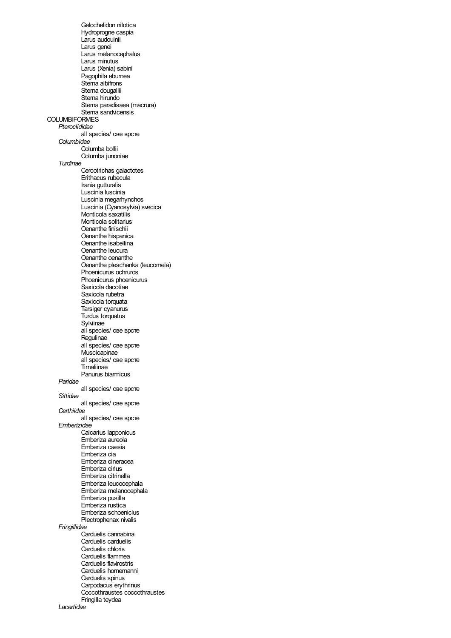Gelochelidon nilotica Hydroprogne caspia Larus audouinii Larus genei Larus melanocephalus Larus minutus Larus (Xenia) sabini Pagophila eburnea Sterna albifrons Sterna dougallii Sterna hirundo Sterna paradisaea (macrura) Sterna sandvicensis COLUMBIFORMES *Pteroclididae* all species/ све врсте *Columbidae* Columba bollii Columba junoniae *Turdinae* Cercotrichas galactotes Erithacus rubecula Irania gutturalis Luscinia luscinia Luscinia megarhynchos Luscinia (Cyanosylvia) svecica Monticola saxatilis Monticola solitarius Oenanthe finischii Oenanthe hispanica Oenanthe isabellina Oenanthe leucura Oenanthe oenanthe Oenanthe pleschanka (leucomela) Phoenicurus ochruros Phoenicurus phoenicurus Saxicola dacotiae Saxicola rubetra Saxicola torquata Tarsiger cyanurus Turdus torquatus **Sylviinae** all species/ све врсте **Regulinae** all species/ све врсте Muscicapinae all species/ све врсте Timaliinae Panurus biarmicus *Paridae* all species/ све врсте *Sittidae* all species/ све врсте *Certhiidae* all species/ све врсте *Emberizidae* Calcarius lapponicus Emberiza aureola Emberiza caesia Emberiza cia Emberiza cineracea Emberiza cirlus Emberiza citrinella Emberiza leucocephala Emberiza melanocephala Emberiza pusilla Emberiza rustica Emberiza schoeniclus Plectrophenax nivalis *Fringillidae* Carduelis cannabina Carduelis carduelis Carduelis chloris Carduelis flammea Carduelis flavirostris Carduelis hornemanni Carduelis spinus Carpodacus erythrinus Coccothraustes coccothraustes Fringilla teydea *Lacertidae*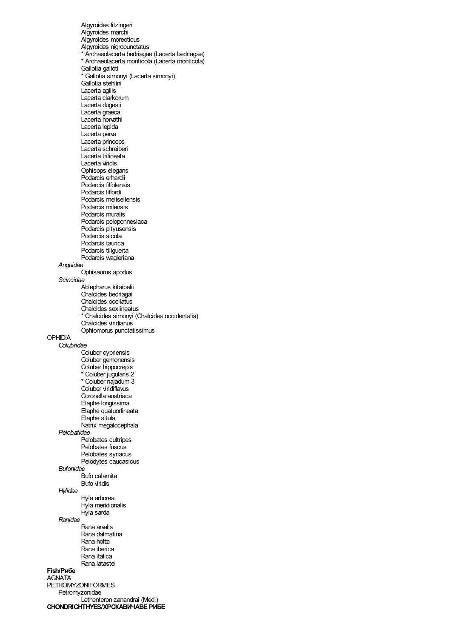Algyroides fitzingeri Algyroides marchi Algyroides moreoticus Algyroides nigropunctatus \* Archaeolacerta bedriagae (Lacerta bedriagae) \* Archaeolacerta monticola (Lacerta monticola) Gallotia galloti \* Gallotia simonyi (Lacerta simonyi) Gallotia stehlini Lacerta agilis Lacerta clarkorum Lacerta dugesii Lacerta graeca Lacerta horvathi Lacerta lepida Lacerta parva Lacerta princeps Lacerta schreiberi Lacerta trilineata Lacerta viridis Ophisops elegans Podarcis erhardii Podarcis filfolensis Podarcis lilfordi Podarcis melisellensis Podarcis milensis Podarcis muralis Podarcis peloponnesiaca Podarcis pityusensis Podarcis sicula Podarcis taurica Podarcis tiliguerta Podarcis wagleriana *Anguidae* Ophisaurus apodus *Scincidae* Ablepharus kitaibelii Chalcides bedriagai Chalcides ocellatus Chalcides sexlineatus \* Chalcides simonyi (Chalcides occidentalis) Chalcides viridianus Ophiomorus punctatissimus **OPHIDIA** *Colubridae* Coluber cypriensis Coluber gemonensis Coluber hippocrepis \* Coluber jugularis 2 \* Coluber najadum 3 Coluber viridiflavus Coronella austriaca Elaphe longissima Elaphe quatuorlineata Elaphe situla Natrix megalocephala *Pelobatidae* Pelobates cultripes Pelobates fuscus Pelobates syriacus Pelodytes caucasicus *Bufonidae* Bufo calamita Bufo viridis *Hylidae* Hyla arborea Hyla meridionalis Hyla sarda *Ranidae* Rana arvalis Rana dalmatina Rana holtzi Rana iberica Rana italica Rana latastei **Fish/Рибе** AGNATA **PETROMYZONIFORMES** Petromyzonidae Lethenteron zanandrai (Med.) **CHONDRICHTHYES/ХРСКАВИЧАВЕ РИБЕ**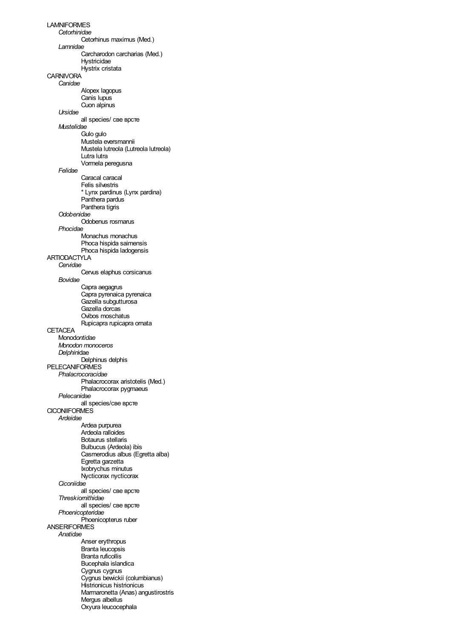LAMNIFORMES *Cetorhinidae* Cetorhinus maximus (Med.) *Lamnidae* Carcharodon carcharias (Med.) Hystricidae Hystrix cristata **CARNIVORA** *Canidae* Alopex lagopus Canis lupus Cuon alpinus *Ursidae* all species/ све врсте *Mustelidae* Gulo gulo Mustela eversmannii Mustela lutreola (Lutreola lutreola) Lutra lutra Vormela peregusna *Felidae* Caracal caracal Felis silvestris \* Lynx pardinus (Lynx pardina) Panthera pardus Panthera tigris *Odobenidae* Odobenus rosmarus *Phocidae* Monachus monachus Phoca hispida saimensis Phoca hispida ladogensis **ARTIODACTYLA** *Cervidae* Cervus elaphus corsicanus *Bovidae* Capra aegagrus Capra pyrenaica pyrenaica Gazella subgutturosa Gazella dorcas Ovibos moschatus Rupicapra rupicapra ornata **CETACEA** Monod*ontidae Monodon monoceros Delphin*idae Delphinus delphis **PELECANIFORMES** *Phalacrocoracidae* Phalacrocorax aristotelis (Med.) Phalacrocorax pygmaeus *Pelecanidae* all species/све врсте CICONIIFORMES *Ardeidae* Ardea purpurea Ardeola ralloides Botaurus stellaris Bulbucus (Ardeola) ibis Casmerodius albus (Egretta alba) Egretta garzetta Ixobrychus minutus Nycticorax nycticorax *Ciconiidae* all species/ све врсте *Threskiornithidae* all species/ све врсте *Phoenicopteridae* Phoenicopterus ruber ANSERIFORMES *Anatidae* Anser erythropus Branta leucopsis Branta ruficollis Bucephala islandica Cygnus cygnus Cygnus bewickii (columbianus) Histrionicus histrionicus Marmaronetta (Anas) angustirostris Mergus albellus Oxyura leucocephala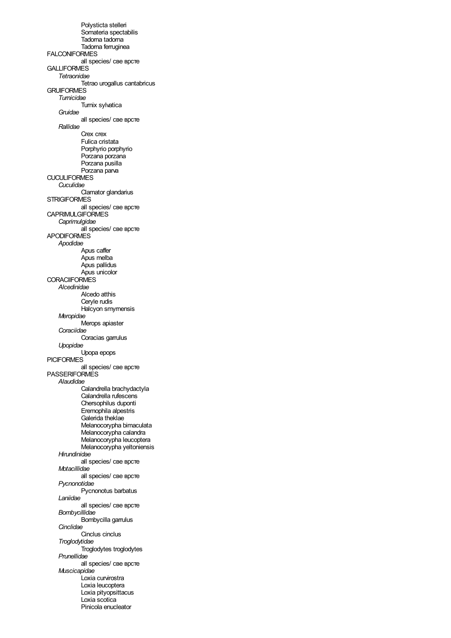Polysticta stelleri Somateria spectabilis Tadorna tadorna Tadorna ferruginea FALCONIFORMES all species/ све врсте **GALLIFORMES** *Tetraonidae* Tetrao urogallus cantabricus GRUIFORMES *Turnicidae* Turnix sylvatica *Gruidae* all species/ све врсте *Rallidae* Crex crex Fulica cristata Porphyrio porphyrio Porzana porzana Porzana pusilla Porzana parva CUCULIFORMES *Cuculidae* Clamator glandarius **STRIGIFORMES** all species/ све врсте **CAPRIMULGIFORMES** *Caprimulgidae* all species/ све врсте APODIFORMES *Apodidae* Apus caffer Apus melba Apus pallidus Apus unicolor CORACIIFORMES *Alcedinidae* Alcedo atthis Ceryle rudis Halcyon smyrnensis *Meropidae* Merops apiaster *Coraciidae* Coracias garrulus *Upopidae* Upopa epops **PICIFORMES** all species/ све врсте PASSERIFORMES *Alaudidae* Calandrella brachydactyla Calandrella rufescens Chersophilus duponti Eremophila alpestris Galerida theklae Melanocorypha bimaculata Melanocorypha calandra Melanocorypha leucoptera Melanocorypha yeltoniensis *Hirundinidae* all species/ све врсте *Motacillidae* all species/ све врсте *Pycnonotidae* Pycnonotus barbatus *Laniidae* all species/ све врсте *Bombycillidae* Bombycilla garrulus *Cinclidae* Cinclus cinclus *Troglodytidae* Troglodytes troglodytes *Prunellidae* all species/ све врсте *Muscicapidae* Loxia curvirostra Loxia leucoptera Loxia pityopsittacus Loxia scotica Pinicola enucleator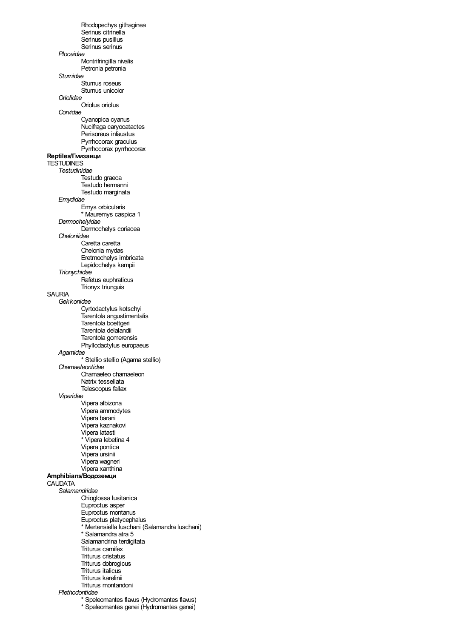Rhodopechys githaginea Serinus citrinella Serinus pusillus Serinus serinus *Ploceidae* Montrifringilla nivalis Petronia petronia *Sturnidae* Sturnus roseus Sturnus unicolor *Oriolidae* Oriolus oriolus *Corvidae* Cyanopica cyanus Nucifraga caryocatactes Perisoreus infaustus Pyrrhocorax graculus Pyrrhocorax pyrrhocorax **Reptiles/Гмизавци TESTUDINES** *Testudinidae* Testudo graeca Testudo hermanni Testudo marginata *Emydidae* Emys orbicularis \* Mauremys caspica 1 *Dermochelyidae* Dermochelys coriacea *Cheloniidae* Caretta caretta Chelonia mydas Eretmochelys imbricata Lepidochelys kempii *Trionychidae* Rafetus euphraticus Trionyx triunguis SAURIA *Gekkonidae* Cyrtodactylus kotschyi Tarentola angustimentalis Tarentola boettgeri Tarentola delalandii Tarentola gomerensis Phyllodactylus europaeus *Agamidae* \* Stellio stellio (Agama stellio) *Chamaeleontidae* Chamaeleo chamaeleon Natrix tessellata Telescopus fallax *Viperidae* Vipera albizona Vipera ammodytes Vipera barani Vipera kaznakovi Vipera latasti \* Vipera lebetina 4 Vipera pontica Vipera ursinii Vipera wagneri Vipera xanthina **Amphibians/Водоземци CAUDATA** *Salamandridae* Chioglossa lusitanica Euproctus asper Euproctus montanus Euproctus platycephalus \* Mertensiella luschani (Salamandra luschani) \* Salamandra atra 5 Salamandrina terdigitata Triturus carnifex Triturus cristatus Triturus dobrogicus Triturus italicus Triturus karelinii Triturus montandoni *Plethodontidae* \* Speleomantes flavus (Hydromantes flavus) \* Speleomantes genei (Hydromantes genei)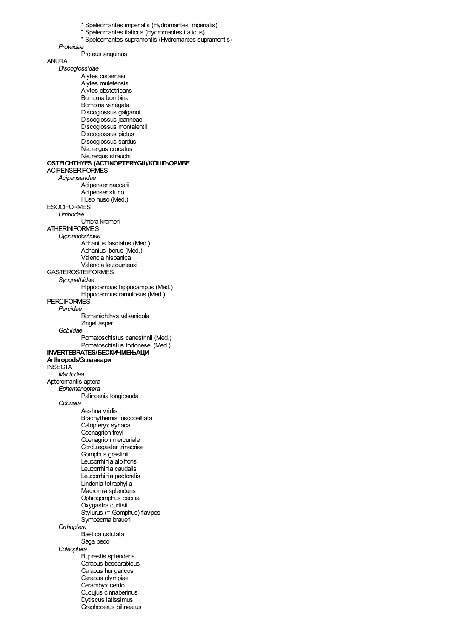\* Speleomantes imperialis (Hydromantes imperialis)

- \* Speleomantes italicus (Hydromantes italicus)
- \* Speleomantes supramontis (Hydromantes supramontis)

*Proteidae*

Proteus anguinus ANURA *Discoglossidae* Alytes cisternasii Alytes muletensis Alytes obstetricans Bombina bombina Bombina variegata Discoglossus galganoi Discoglossus jeanneae Discoglossus montalentii Discoglossus pictus Discoglossus sardus Neurergus crocatus Neurergus strauchi **OSTEICHTHYES (ACTINOPTERYGII)/КОШЉОРИБЕ** ACIPENSERIFORMES *Acipenseridae* Acipenser naccarii Acipenser sturio Huso huso (Med.) **ESOCIFORMES** *Umbridae* Umbra krameri ATHERINIFORMES *Cyprinodontidae* Aphanius fasciatus (Med.) Aphanius iberus (Med.) Valencia hispanica Valencia leutourneuxi **GASTEROSTEIFORMES** *Syngnathidae* Hippocampus hippocampus (Med.) Hippocampus ramulosus (Med.) **PERCIFORMES** *Percidae* Romanichthys valsanicola Zingel asper *Gobiidae* Pomatoschistus canestrinii (Med.) Pomatoschistus tortonesei (Med.) **INVERTEBRATES/БЕСКИЧМЕЊАЦИ Arthropods/Зглавкари INSECTA** *Mantodea* Apteromantis aptera *Ephemenoptera* Palingenia longicauda *Odonata* Aeshna viridis Brachythemis fuscopalliata Calopteryx syriaca Coenagrion freyi Coenagrion mercuriale Cordulegaster trinacriae Gomphus graslinii Leucorrhinia albifrons Leucorrhinia caudalis Leucorrhinia pectoralis Lindenia tetraphylla Macromia splendens Ophiogomphus cecilia Oxygastra curtisii Stylurus (= Gomphus) flavipes Sympecma braueri *Orthoptera* Baetica ustulata Saga pedo *Coleoptera* Buprestis splendens Carabus bessarabicus Carabus hungaricus Carabus olympiae Cerambyx cerdo Cucujus cinnaberinus Dytiscus latissimus Graphoderus bilineatus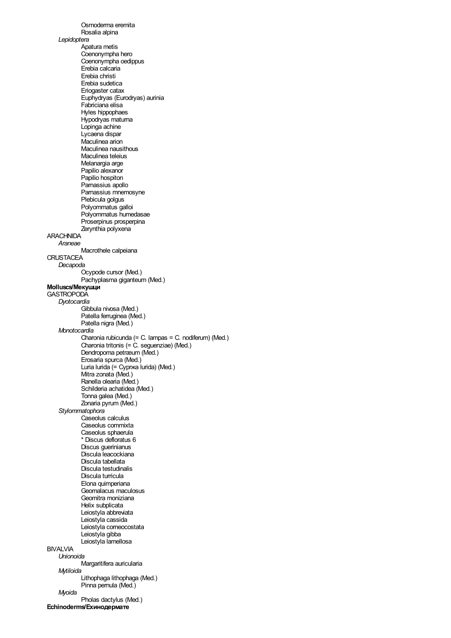Osmoderma eremita Rosalia alpina *Lepidoptera* Apatura metis Coenonympha hero Coenonympha oedippus Erebia calcaria Erebia christi Erebia sudetica Eriogaster catax Euphydryas (Eurodryas) aurinia Fabriciana elisa Hyles hippophaes Hypodryas maturna Lopinga achine Lycaena dispar Maculinea arion Maculinea nausithous Maculinea teleius Melanargia arge Papilio alexanor Papilio hospiton Parnassius apollo Parnassius mnemosyne Plebicula golgus Polyommatus galloi Polyommatus humedasae Proserpinus prosperpina Zerynthia polyxena **ARACHNIDA** *Araneae* Macrothele calpeiana **CRUSTACEA** *Decapoda* Ocypode cursor (Med.) Pachyplasma giganteum (Med.) **Molluscs/Мекушци GASTROPODA** *Dyotocardia* Gibbula nivosa (Med.) Patella ferruginea (Med.) Patella nigra (Med.) *Monotocardia* Charonia rubicunda (= C. lampas = C. nodiferum) (Med.) Charonia tritonis (=  $\dot{C}$ . seguenziae) (Med.) Dendropoma petræum (Med.) Erosaria spurca (Med.) Luria lurida (= Cyprжa lurida) (Med.) Mitra zonata (Med.) Ranella olearia (Med.) Schilderia achatidea (Med.) Tonna galea (Med.) Zonaria pyrum (Med.) *Stylommatophora* Caseolus calculus Caseolus commixta Caseolus sphaerula \* Discus defloratus 6 Discus guerinianus Discula leacockiana Discula tabellata Discula testudinalis Discula turricula Elona quimperiana Geomalacus maculosus Geomitra moniziana Helix subplicata Leiostyla abbreviata Leiostyla cassida Leiostyla corneocostata Leiostyla gibba Leiostyla lamellosa BIVALVIA *Unionoida* Margaritifera auricularia *Mytiloida* Lithophaga lithophaga (Med.) Pinna pernula (Med.) *Myoida* Pholas dactylus (Med.) **Echinoderms/Ехинодермате**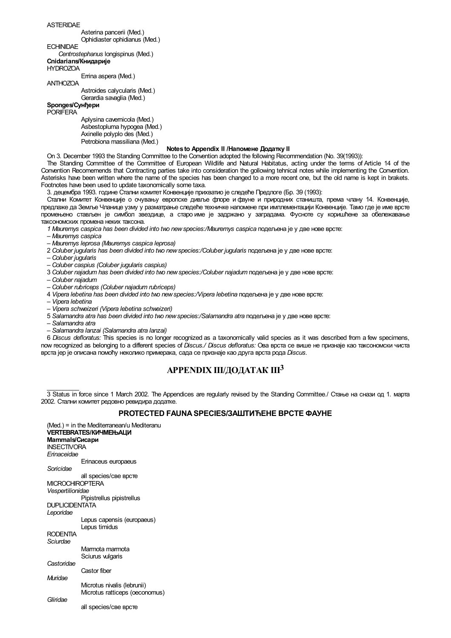ASTERIDAE

Asterina pancerii (Med.) Ophidiaster ophidianus (Med.)

ECHINIDAE

*Centrostephanus* longispinus (Med.) **Cnidarians/Книдарије**

**HYDROZOA** 

Errina aspera (Med.)

ANTHOZOA

Astroides calycularis (Med.) Gerardia savaglia (Med.)

# **Sponges/Сунђери**

**PORIFERA** 

Aplysina cavernicola (Med.) Asbestopluma hypogea (Med.) Axinelle polyplo des (Med.) Petrobiona massiliana (Med.)

### **Notes to Appendix II /Напомене Додатку II**

On 3. December 1993 the Standing Committee to the Convention adopted the following Recommendation (No. 39(1993)):

The Standing Committee of the Committee of European Wildlife and Natural Habitatus, acting under the terms of Article 14 of the Convention Recomemends that Contracting parties take into consideration the gollowing tehnical notes while implementing the Convention. Asterisks have been written where the name of the species has been changed to a more recent one, but the old name is kept in brakets. Footnotes have been used to update taxonomically some taxa.

3. децембра 1993. године Стални комитет Конвенције прихватио је следеће Предлоге (Бр. 39 (1993):

Стални Комитет Конвенције о очувању европске дивље флоре и фауне и природних станишта, према члану 14. Конвенције, предлаже да Земље Чланице узму у разматрање следеће техничке напомене при имплементацији Конвенције. Тамо где је име врсте промењено стављен је симбол звездице, а старо име је задржано у заградама. Фусноте су коришћене за обележавање таксономских промена неких таксона.

*1 Mauremys caspica has been divided into two newspecies:/Mauremys caspica* подељена је у две нове врсте:

– *Mauremys caspica*

– *Mauremys leprosa (Mauremys caspica leprosa)*

2 *Coluber jugularis has been divided into two newspecies:/Coluber jugularis* подељена је у две нове врсте:

– *Coluber jugularis*

- *Coluber caspius (Coluber jugularis caspius)*
- 3 *Coluber najadum has been divided into two newspecies:/Coluber najadum* подељена је у две нове врсте:
- *Coluber najadum*
- *Coluber rubriceps (Coluber najadum rubriceps)*
- 4 *Vipera lebetina has been divided into two newspecies:/Vipera lebetina* подељена је у две нове врсте:
- *Vipera lebetina*
- *Vipera schweizeri (Vipera lebetina schweizeri)*
- 5 *Salamandra atra has been divided into two newspecies:/Salamandra atra* подељена је у две нове врсте:
- *Salamandra atra*
- *Salamandra lanzai (Salamandra atra lanzai)*

6 *Discus defloratus:* This species is no longer recognized as a taxonomically valid species as it was described from a few specimens, now recognized as belonging to a different species of *Discus./ Discus defloratus:* Ова врста се више не признаје као таксономски чиста врста јер је описана помоћу неколико примерака, сада се признаје као друга врста рода *Discus*.

# **APPENDIX III/ДОДАТАК III3**

 $\overline{\phantom{a}}$ 3 Status in force since 1 March 2002. The Appendices are regularly revised by the Standing Committee./ Стање на снази од 1. марта 2002. Стални комитет редовно ревидира додатке.

### **PROTECTED FAUNASPECIES/ЗАШТИЋЕНЕ ВРСТЕ ФАУНЕ**

| $(Med.) = in the Mediterranean/u Mediteranu$<br>VERTEBRATES/КИЧМЕЊАЦИ<br><b>Mammals/Сисари</b><br><b>INSECTIVORA</b><br>Frinaceidae |                                |
|-------------------------------------------------------------------------------------------------------------------------------------|--------------------------------|
|                                                                                                                                     | Erinaceus europaeus            |
| Soricidae                                                                                                                           |                                |
|                                                                                                                                     | all species/све врсте          |
| <b>MICROCHIROPTERA</b>                                                                                                              |                                |
| Vespertilionidae                                                                                                                    |                                |
|                                                                                                                                     | Pipistrellus pipistrellus      |
| <b>DUPLICIDENTATA</b>                                                                                                               |                                |
| Leporidae                                                                                                                           |                                |
|                                                                                                                                     | Lepus capensis (europaeus)     |
|                                                                                                                                     | Lepus timidus                  |
| <b>RODENTIA</b><br>Sciurdae                                                                                                         |                                |
|                                                                                                                                     | Marmota marmota                |
|                                                                                                                                     | Sciurus vulgaris               |
| Castoridae                                                                                                                          |                                |
|                                                                                                                                     | Castor fiber                   |
| Muridae                                                                                                                             |                                |
|                                                                                                                                     | Microtus nivalis (lebrunii)    |
|                                                                                                                                     | Microtus ratticeps (oeconomus) |
| Gliridae                                                                                                                            |                                |
|                                                                                                                                     | all species/све врсте          |
|                                                                                                                                     |                                |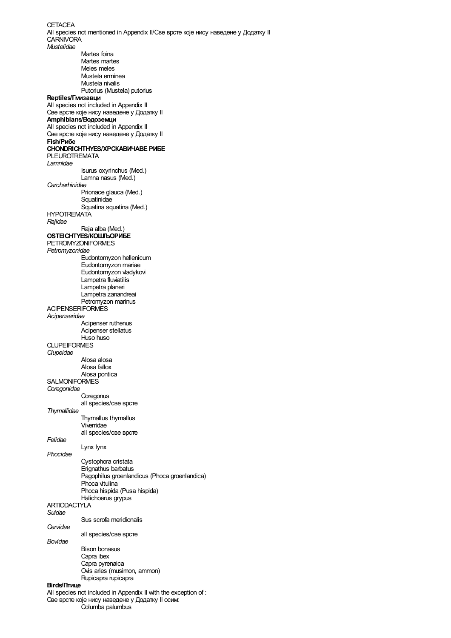**CETACEA** All species not mentioned in Appendix II/Све врсте које нису наведене у Додатку II **CARNIVORA** *Mustelidae* Martes foina Martes martes Meles meles Mustela erminea Mustela nivalis Putorius (Mustela) putorius **Reptiles/Гмизавци** All species not included in Appendix II Све врсте које нису наведене у Додатку II **Amphibians/Водоземци** All species not included in Appendix II Све врсте које нису наведене у Додатку II **Fish/Рибе CHONDRICHTHYES/ХРСКАВИЧАВЕ РИБЕ PLEUROTREMATA** *Lamnidae* Isurus oxyrinchus (Med.) Lamna nasus (Med.) *Carcharhinidae* Prionace glauca (Med.) **Squatinidae** Squatina squatina (Med.) **HYPOTREMATA** *Rajidae* Raja alba (Med.) **OSTEICHTYES/КОШЉОРИБЕ PETROMYZONIFORMES** *Petromyzonidae* Eudontomyzon hellenicum Eudontomyzon mariae Eudontomyzon vladykovi Lampetra fluviatilis Lampetra planeri Lampetra zanandreai Petromyzon marinus ACIPENSERIFORMES *Acipenseridae* Acipenser ruthenus Acipenser stellatus Huso huso **CLUPEIFORMES** *Clupeidae* Alosa alosa Alosa fallox Alosa pontica SALMONIFORMES *Coregonidae* **Coregonus** all species/све врсте *Thymallidae* Thymallus thymallus Viverridae all species/све врсте *Felidae* Lynx lynx *Phocidae* Cystophora cristata Erignathus barbatus

Pagophilus groenlandicus (Phoca groenlandica) Phoca vitulina

Phoca hispida (Pusa hispida) Halichoerus grypus

ARTIODACTYLA

*Suidae*

Sus scrofa meridionalis

*Cervidae* all species/све врсте

*Bovidae*

Bison bonasus Capra ibex Capra pyrenaica

Ovis aries (musimon, ammon) Rupicapra rupicapra

### **Birds/Птице**

All species not included in Appendix II with the exception of : Све врсте које нису наведене у Додатку II осим: Columba palumbus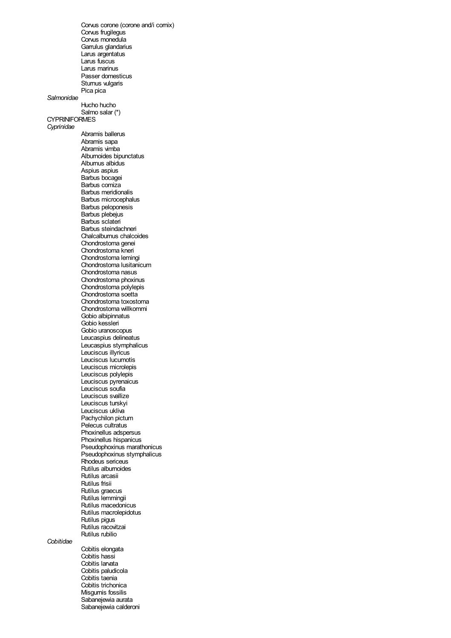Corvus corone (corone and/i cornix) Corvus frugilegus Corvus monedula Garrulus glandarius Larus argentatus Larus fuscus Larus marinus Passer domesticus Sturnus vulgaris Pica pica *Salmonidae* Hucho hucho Salmo salar (\*) **CYPRINIFORMES** *Cyprinidae* Abramis ballerus Abramis sapa Abramis vimba Alburnoides bipunctatus Alburnus albidus Aspius aspius Barbus bocagei Barbus comiza Barbus meridionalis Barbus microcephalus Barbus peloponesis Barbus plebejus Barbus sclateri Barbus steindachneri Chalcalburnus chalcoides Chondrostoma genei Chondrostoma kneri Chondrostoma lemingi Chondrostoma lusitanicum Chondrostoma nasus Chondrostoma phoxinus Chondrostoma polylepis Chondrostoma soetta Chondrostoma toxostoma Chondrostoma willkommi Gobio albipinnatus Gobio kessleri Gobio uranoscopus Leucaspius delineatus Leucaspius stymphalicus Leuciscus illyricus Leuciscus lucumotis Leuciscus microlepis Leuciscus polylepis Leuciscus pyrenaicus Leuciscus soufia Leuciscus svallize Leuciscus turskyi Leuciscus ukliva Pachychilon pictum Pelecus cultratus Phoxinellus adspersus Phoxinellus hispanicus Pseudophoxinus marathonicus Pseudophoxinus stymphalicus Rhodeus sericeus Rutilus alburnoides Rutilus arcasii Rutilus frisii Rutilus graecus Rutilus lemmingii Rutilus macedonicus Rutilus macrolepidotus Rutilus pigus Rutilus racovitzai Rutilus rubilio *Cobitidae* Cobitis elongata Cobitis hassi Cobitis larvata Cobitis paludicola Cobitis taenia Cobitis trichonica Misgurnis fossilis Sabanejewia aurata Sabanejewia calderoni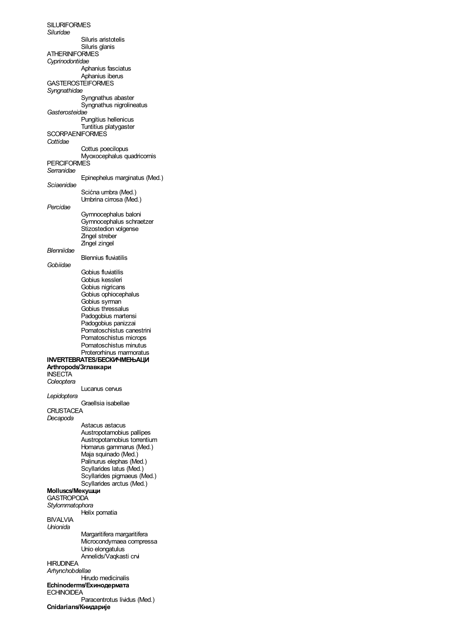SILURIFORMES *Siluridae* Siluris aristotelis Siluris glanis ATHERINIFORMES *Cyprinodontidae* Aphanius fasciatus Aphanius iberus **GASTEROSTEIFORMES** *Syngnathidae* Syngnathus abaster Syngnathus nigrolineatus *Gasterosteidae* Pungitius hellenicus Tuntitius platygaster SCORPAENIFORMES *Cottidae* Cottus poecilopus Myoxocephalus quadricornis **PERCIFORMES** *Serranidae* Epinephelus marginatus (Med.) *Sciaenidae* Scićna umbra (Med.) Umbrina cirrosa (Med.) *Percidae* Gymnocephalus baloni Gymnocephalus schraetzer Stizostedion volgense Zingel streber Zingel zingel *Blenniidae* Blennius fluviatilis *Gobiidae* Gobius fluviatilis Gobius kessleri Gobius nigricans Gobius ophiocephalus Gobius syrman Gobius thressalus Padogobius martensi Padogobius panizzai Pomatoschistus canestrini Pomatoschistus microps Pomatoschistus minutus Proterorhinus marmoratus **INVERTEBRATES/БЕСКИЧМЕЊАЦИ Arthropods/Зглавкари INSECTA** *Coleoptera* Lucanus cervus *Lepidoptera* Graellsia isabellae **CRUSTACEA** *Decapoda* Astacus astacus Austropotamobius pallipes Austropotamobius torrentium Homarus gammarus (Med.) Maja squinado (Med.) Palinurus elephas (Med.) Scyllarides latus (Med.) Scyllarides pigmaeus (Med.) Scyllarides arctus (Med.) **Molluscs/Мекушци GASTROPODA** *Stylommatophora* Helix pomatia BIVALVIA *Unionida* Margaritifera margaritifera Microcondymaea compressa Unio elongatulus Annelids/Vaqkasti crvi **HIRUDINEA** *Arhynchobdellae* Hirudo medicinalis **Echinoderms/Ехинодермата ECHINOIDEA** Paracentrotus lividus (Med.) **Cnidarians/Книдарије**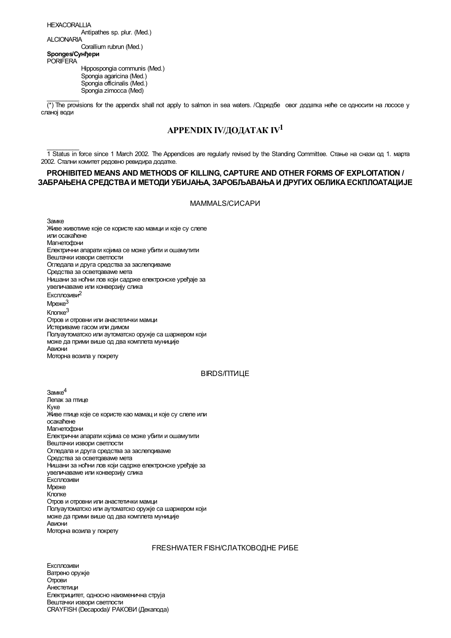**HEXACORALLIA** 

Antipathes sp. plur. (Med.) **ALCIONARIA** 

Corallium rubrun (Med.) **Sponges/Сунђери**

**PORIFERA** 

Hippospongia communis (Med.) Spongia agaricina (Med.) Spongia officinalis (Med.) Spongia zimocca (Med)

\_\_\_\_\_\_\_\_\_\_ (\*) The provisions for the appendix shall not apply to salmon in sea waters. /Одредбе овог додатка неће се односити на лососе у сланој води

# **APPENDIX IV/ДОДАТАК IV1**

\_\_\_\_\_\_\_\_\_\_ 1 Status in force since 1 March 2002. The Appendices are regularly revised by the Standing Committee. Стање на снази од 1. марта 2002. Стални комитет редовно ревидира додатке.

# **PROHIBITED MEANS AND METHODS OF KILLING, CAPTURE AND OTHER FORMS OF EXPLOITATION / ЗАБРАЊЕНАСРЕДСТВАИ МЕТОДИ УБИЈАЊА, ЗАРОБЉАВАЊАИ ДРУГИХ ОБЛИКАЕСКПЛОАТАЦИЈЕ**

MAMMALS/СИСАРИ

Замке

Живе животиwе које се користе као мамци и које су слепе или осакаћене Магнетофони Електрични апарати којима се може убити и ошамутити Вештачки извори светлости Огледала и друга средства за заслепqиваwе Средства за осветqаваwе мета Нишани за ноћни лов који садрже електронске уређаје за увеличаваwе или конверзију слика .<br>Експлозиви<sup>2</sup> Мреже<sup>3</sup> Клопке<sup>3</sup> Отров и отровни или анастетички мамци Истериваwе гасом или димом Полуаутоматско или аутоматско оружје са шаржером који може да прими више од два комплета муниције Авиони

Моторна возила у покрету

### BIRDS/ПТИЦЕ

Замке $^4\,$ Лепак за птице Куке Живе птице које се користе као мамац и које су слепе или осакаћене Магнетофони Електрични апарати којима се може убити и ошамутити Вештачки извори светлости Огледала и друга средства за заслепqиваwе Средства за осветqаваwе мета Нишани за ноћни лов који садрже електронске уређаје за увеличаваwе или конверзију слика Експлозиви Мреже Клопке Отров и отровни или анастетички мамци Полуаутоматско или аутоматско оружје са шаржером који може да прими више од два комплета муниције Авиони Моторна возила у покрету

### FRESHWATER FISH/СЛАТКОВОДНЕ РИБЕ

Експлозиви Ватрено оружје Отрови Анестетици Електрицитет, односно наизменична струја Вештачки извори светлости CRAYFISH (Decapoda)/ РАКОВИ (Декапода)